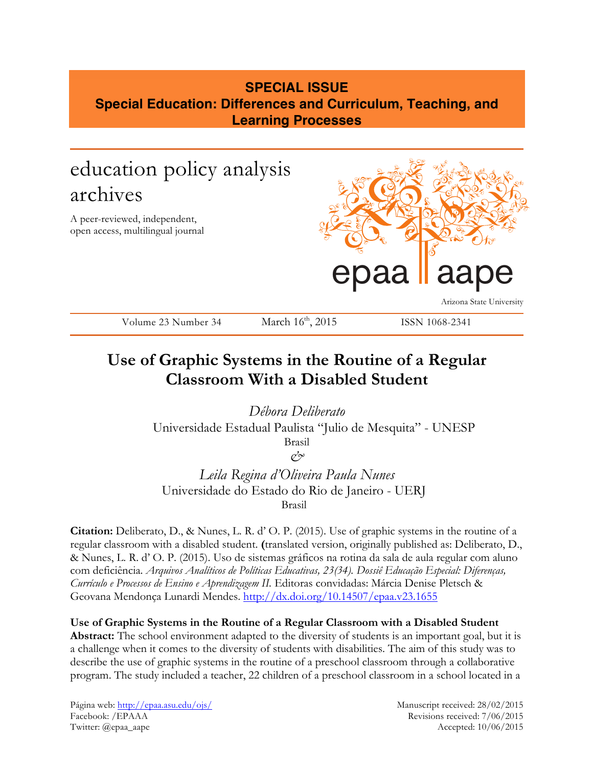## **SPECIAL ISSUE Special Education: Differences and Curriculum, Teaching, and Learning Processes**

# education policy analysis archives

A peer-reviewed, independent, open access, multilingual journal



Arizona State University

Volume 23 Number 34 March 16<sup>th</sup>, 2015 ISSN 1068-2341

# **Use of Graphic Systems in the Routine of a Regular Classroom With a Disabled Student**

*Débora Deliberato* Universidade Estadual Paulista "Julio de Mesquita" - UNESP Brasil *&*

*Leila Regina d'Oliveira Paula Nunes* Universidade do Estado do Rio de Janeiro - UERJ Brasil

**Citation:** Deliberato, D., & Nunes, L. R. d' O. P. (2015). Use of graphic systems in the routine of a regular classroom with a disabled student. **(**translated version, originally published as: Deliberato, D., & Nunes, L. R. d' O. P. (2015). Uso de sistemas gráficos na rotina da sala de aula regular com aluno com deficiência. *Arquivos Analíticos de Políticas Educativas, 23(34). Dossiê Educação Especial: Diferenças, Currículo e Processos de Ensino e Aprendizagem II.* Editoras convidadas: Márcia Denise Pletsch & Geovana Mendonça Lunardi Mendes. http://dx.doi.org/10.14507/epaa.v23.1655

**Use of Graphic Systems in the Routine of a Regular Classroom with a Disabled Student Abstract:** The school environment adapted to the diversity of students is an important goal, but it is a challenge when it comes to the diversity of students with disabilities. The aim of this study was to describe the use of graphic systems in the routine of a preschool classroom through a collaborative program. The study included a teacher, 22 children of a preschool classroom in a school located in a

Página web: http://epaa.asu.edu/ojs/ Manuscript received: 28/02/2015 Facebook: /EPAAA Revisions received: 7/06/2015 Twitter: @epaa\_aape Accepted: 10/06/2015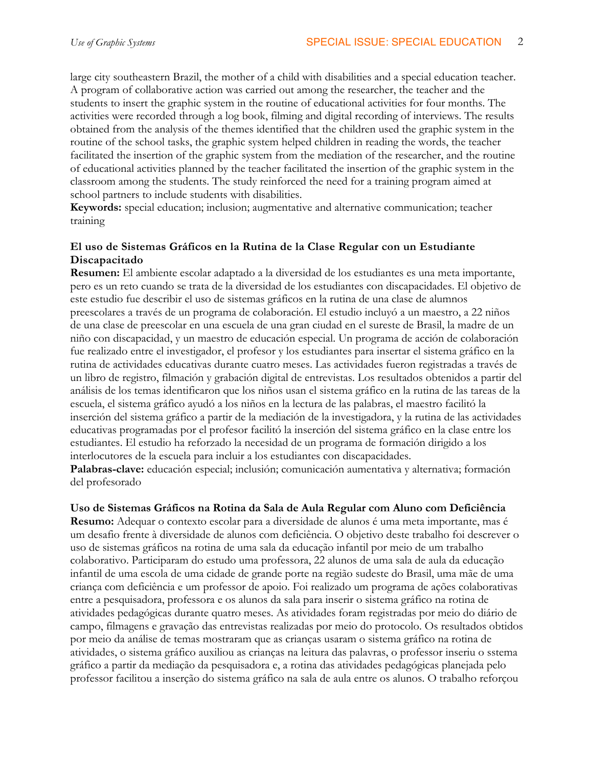large city southeastern Brazil, the mother of a child with disabilities and a special education teacher. A program of collaborative action was carried out among the researcher, the teacher and the students to insert the graphic system in the routine of educational activities for four months. The activities were recorded through a log book, filming and digital recording of interviews. The results obtained from the analysis of the themes identified that the children used the graphic system in the routine of the school tasks, the graphic system helped children in reading the words, the teacher facilitated the insertion of the graphic system from the mediation of the researcher, and the routine of educational activities planned by the teacher facilitated the insertion of the graphic system in the classroom among the students. The study reinforced the need for a training program aimed at school partners to include students with disabilities.

**Keywords:** special education; inclusion; augmentative and alternative communication; teacher training

## **El uso de Sistemas Gráficos en la Rutina de la Clase Regular con un Estudiante Discapacitado**

**Resumen:** El ambiente escolar adaptado a la diversidad de los estudiantes es una meta importante, pero es un reto cuando se trata de la diversidad de los estudiantes con discapacidades. El objetivo de este estudio fue describir el uso de sistemas gráficos en la rutina de una clase de alumnos preescolares a través de un programa de colaboración. El estudio incluyó a un maestro, a 22 niños de una clase de preescolar en una escuela de una gran ciudad en el sureste de Brasil, la madre de un niño con discapacidad, y un maestro de educación especial. Un programa de acción de colaboración fue realizado entre el investigador, el profesor y los estudiantes para insertar el sistema gráfico en la rutina de actividades educativas durante cuatro meses. Las actividades fueron registradas a través de un libro de registro, filmación y grabación digital de entrevistas. Los resultados obtenidos a partir del análisis de los temas identificaron que los niños usan el sistema gráfico en la rutina de las tareas de la escuela, el sistema gráfico ayudó a los niños en la lectura de las palabras, el maestro facilitó la inserción del sistema gráfico a partir de la mediación de la investigadora, y la rutina de las actividades educativas programadas por el profesor facilitó la inserción del sistema gráfico en la clase entre los estudiantes. El estudio ha reforzado la necesidad de un programa de formación dirigido a los interlocutores de la escuela para incluir a los estudiantes con discapacidades.

**Palabras-clave:** educación especial; inclusión; comunicación aumentativa y alternativa; formación del profesorado

## **Uso de Sistemas Gráficos na Rotina da Sala de Aula Regular com Aluno com Deficiência**

**Resumo:** Adequar o contexto escolar para a diversidade de alunos é uma meta importante, mas é um desafio frente à diversidade de alunos com deficiência. O objetivo deste trabalho foi descrever o uso de sistemas gráficos na rotina de uma sala da educação infantil por meio de um trabalho colaborativo. Participaram do estudo uma professora, 22 alunos de uma sala de aula da educação infantil de uma escola de uma cidade de grande porte na região sudeste do Brasil, uma mãe de uma criança com deficiência e um professor de apoio. Foi realizado um programa de ações colaborativas entre a pesquisadora, professora e os alunos da sala para inserir o sistema gráfico na rotina de atividades pedagógicas durante quatro meses. As atividades foram registradas por meio do diário de campo, filmagens e gravação das entrevistas realizadas por meio do protocolo. Os resultados obtidos por meio da análise de temas mostraram que as crianças usaram o sistema gráfico na rotina de atividades, o sistema gráfico auxiliou as crianças na leitura das palavras, o professor inseriu o sstema gráfico a partir da mediação da pesquisadora e, a rotina das atividades pedagógicas planejada pelo professor facilitou a inserção do sistema gráfico na sala de aula entre os alunos. O trabalho reforçou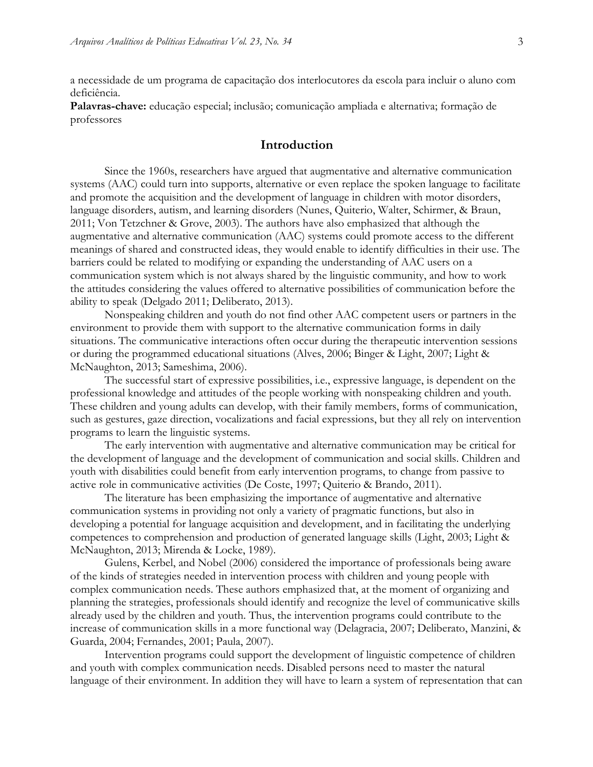a necessidade de um programa de capacitação dos interlocutores da escola para incluir o aluno com deficiência.

**Palavras-chave:** educação especial; inclusão; comunicação ampliada e alternativa; formação de professores

## **Introduction**

Since the 1960s, researchers have argued that augmentative and alternative communication systems (AAC) could turn into supports, alternative or even replace the spoken language to facilitate and promote the acquisition and the development of language in children with motor disorders, language disorders, autism, and learning disorders (Nunes, Quiterio, Walter, Schirmer, & Braun, 2011; Von Tetzchner & Grove, 2003). The authors have also emphasized that although the augmentative and alternative communication (AAC) systems could promote access to the different meanings of shared and constructed ideas, they would enable to identify difficulties in their use. The barriers could be related to modifying or expanding the understanding of AAC users on a communication system which is not always shared by the linguistic community, and how to work the attitudes considering the values offered to alternative possibilities of communication before the ability to speak (Delgado 2011; Deliberato, 2013).

Nonspeaking children and youth do not find other AAC competent users or partners in the environment to provide them with support to the alternative communication forms in daily situations. The communicative interactions often occur during the therapeutic intervention sessions or during the programmed educational situations (Alves, 2006; Binger & Light, 2007; Light & McNaughton, 2013; Sameshima, 2006).

The successful start of expressive possibilities, i.e., expressive language, is dependent on the professional knowledge and attitudes of the people working with nonspeaking children and youth. These children and young adults can develop, with their family members, forms of communication, such as gestures, gaze direction, vocalizations and facial expressions, but they all rely on intervention programs to learn the linguistic systems.

The early intervention with augmentative and alternative communication may be critical for the development of language and the development of communication and social skills. Children and youth with disabilities could benefit from early intervention programs, to change from passive to active role in communicative activities (De Coste, 1997; Quiterio & Brando, 2011).

The literature has been emphasizing the importance of augmentative and alternative communication systems in providing not only a variety of pragmatic functions, but also in developing a potential for language acquisition and development, and in facilitating the underlying competences to comprehension and production of generated language skills (Light, 2003; Light & McNaughton, 2013; Mirenda & Locke, 1989).

Gulens, Kerbel, and Nobel (2006) considered the importance of professionals being aware of the kinds of strategies needed in intervention process with children and young people with complex communication needs. These authors emphasized that, at the moment of organizing and planning the strategies, professionals should identify and recognize the level of communicative skills already used by the children and youth. Thus, the intervention programs could contribute to the increase of communication skills in a more functional way (Delagracia, 2007; Deliberato, Manzini, & Guarda, 2004; Fernandes, 2001; Paula, 2007).

Intervention programs could support the development of linguistic competence of children and youth with complex communication needs. Disabled persons need to master the natural language of their environment. In addition they will have to learn a system of representation that can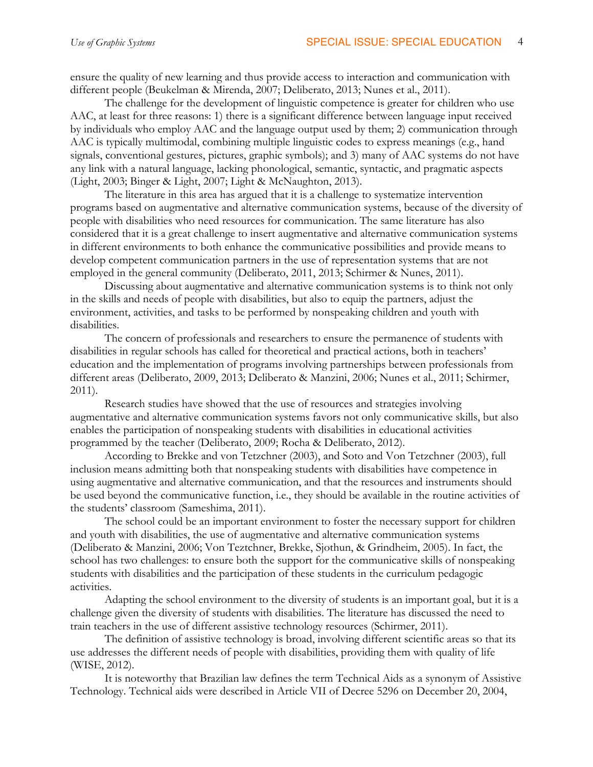ensure the quality of new learning and thus provide access to interaction and communication with different people (Beukelman & Mirenda, 2007; Deliberato, 2013; Nunes et al., 2011).

The challenge for the development of linguistic competence is greater for children who use AAC, at least for three reasons: 1) there is a significant difference between language input received by individuals who employ AAC and the language output used by them; 2) communication through AAC is typically multimodal, combining multiple linguistic codes to express meanings (e.g., hand signals, conventional gestures, pictures, graphic symbols); and 3) many of AAC systems do not have any link with a natural language, lacking phonological, semantic, syntactic, and pragmatic aspects (Light, 2003; Binger & Light, 2007; Light & McNaughton, 2013).

The literature in this area has argued that it is a challenge to systematize intervention programs based on augmentative and alternative communication systems, because of the diversity of people with disabilities who need resources for communication. The same literature has also considered that it is a great challenge to insert augmentative and alternative communication systems in different environments to both enhance the communicative possibilities and provide means to develop competent communication partners in the use of representation systems that are not employed in the general community (Deliberato, 2011, 2013; Schirmer & Nunes, 2011).

Discussing about augmentative and alternative communication systems is to think not only in the skills and needs of people with disabilities, but also to equip the partners, adjust the environment, activities, and tasks to be performed by nonspeaking children and youth with disabilities.

The concern of professionals and researchers to ensure the permanence of students with disabilities in regular schools has called for theoretical and practical actions, both in teachers' education and the implementation of programs involving partnerships between professionals from different areas (Deliberato, 2009, 2013; Deliberato & Manzini, 2006; Nunes et al., 2011; Schirmer, 2011).

Research studies have showed that the use of resources and strategies involving augmentative and alternative communication systems favors not only communicative skills, but also enables the participation of nonspeaking students with disabilities in educational activities programmed by the teacher (Deliberato, 2009; Rocha & Deliberato, 2012).

According to Brekke and von Tetzchner (2003), and Soto and Von Tetzchner (2003), full inclusion means admitting both that nonspeaking students with disabilities have competence in using augmentative and alternative communication, and that the resources and instruments should be used beyond the communicative function, i.e., they should be available in the routine activities of the students' classroom (Sameshima, 2011).

The school could be an important environment to foster the necessary support for children and youth with disabilities, the use of augmentative and alternative communication systems (Deliberato & Manzini, 2006; Von Teztchner, Brekke, Sjothun, & Grindheim, 2005). In fact, the school has two challenges: to ensure both the support for the communicative skills of nonspeaking students with disabilities and the participation of these students in the curriculum pedagogic activities.

Adapting the school environment to the diversity of students is an important goal, but it is a challenge given the diversity of students with disabilities. The literature has discussed the need to train teachers in the use of different assistive technology resources (Schirmer, 2011).

The definition of assistive technology is broad, involving different scientific areas so that its use addresses the different needs of people with disabilities, providing them with quality of life (WISE, 2012).

It is noteworthy that Brazilian law defines the term Technical Aids as a synonym of Assistive Technology. Technical aids were described in Article VII of Decree 5296 on December 20, 2004,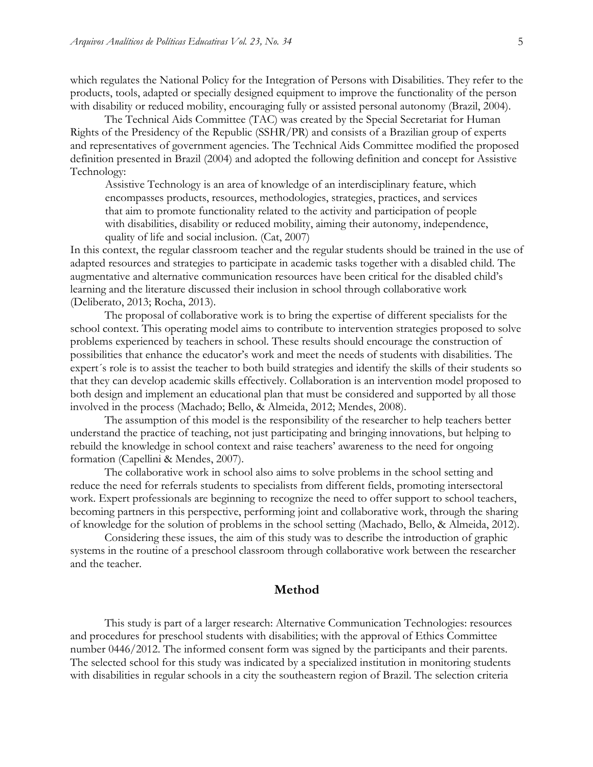which regulates the National Policy for the Integration of Persons with Disabilities. They refer to the products, tools, adapted or specially designed equipment to improve the functionality of the person with disability or reduced mobility, encouraging fully or assisted personal autonomy (Brazil, 2004).

The Technical Aids Committee (TAC) was created by the Special Secretariat for Human Rights of the Presidency of the Republic (SSHR/PR) and consists of a Brazilian group of experts and representatives of government agencies. The Technical Aids Committee modified the proposed definition presented in Brazil (2004) and adopted the following definition and concept for Assistive Technology:

Assistive Technology is an area of knowledge of an interdisciplinary feature, which encompasses products, resources, methodologies, strategies, practices, and services that aim to promote functionality related to the activity and participation of people with disabilities, disability or reduced mobility, aiming their autonomy, independence, quality of life and social inclusion. (Cat, 2007)

In this context, the regular classroom teacher and the regular students should be trained in the use of adapted resources and strategies to participate in academic tasks together with a disabled child. The augmentative and alternative communication resources have been critical for the disabled child's learning and the literature discussed their inclusion in school through collaborative work (Deliberato, 2013; Rocha, 2013).

The proposal of collaborative work is to bring the expertise of different specialists for the school context. This operating model aims to contribute to intervention strategies proposed to solve problems experienced by teachers in school. These results should encourage the construction of possibilities that enhance the educator's work and meet the needs of students with disabilities. The expert´s role is to assist the teacher to both build strategies and identify the skills of their students so that they can develop academic skills effectively. Collaboration is an intervention model proposed to both design and implement an educational plan that must be considered and supported by all those involved in the process (Machado; Bello, & Almeida, 2012; Mendes, 2008).

The assumption of this model is the responsibility of the researcher to help teachers better understand the practice of teaching, not just participating and bringing innovations, but helping to rebuild the knowledge in school context and raise teachers' awareness to the need for ongoing formation (Capellini & Mendes, 2007).

The collaborative work in school also aims to solve problems in the school setting and reduce the need for referrals students to specialists from different fields, promoting intersectoral work. Expert professionals are beginning to recognize the need to offer support to school teachers, becoming partners in this perspective, performing joint and collaborative work, through the sharing of knowledge for the solution of problems in the school setting (Machado, Bello, & Almeida, 2012).

Considering these issues, the aim of this study was to describe the introduction of graphic systems in the routine of a preschool classroom through collaborative work between the researcher and the teacher.

#### **Method**

This study is part of a larger research: Alternative Communication Technologies: resources and procedures for preschool students with disabilities; with the approval of Ethics Committee number 0446/2012. The informed consent form was signed by the participants and their parents. The selected school for this study was indicated by a specialized institution in monitoring students with disabilities in regular schools in a city the southeastern region of Brazil. The selection criteria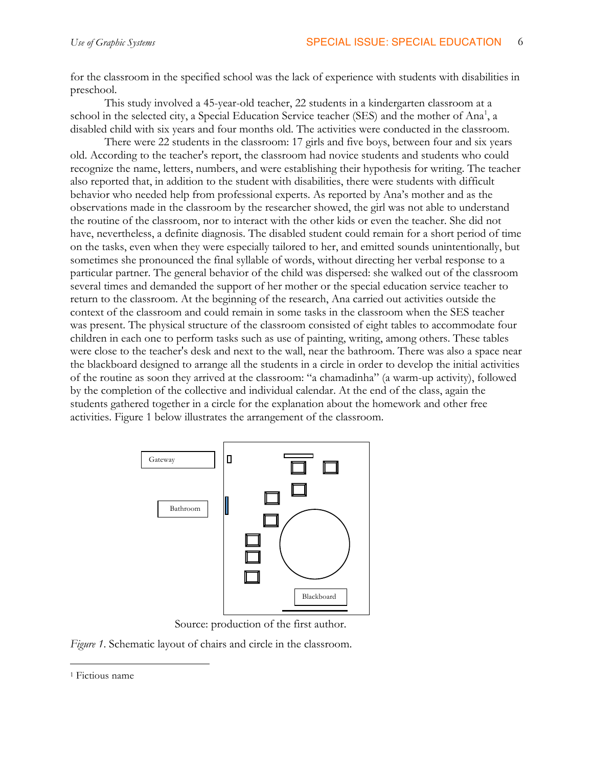for the classroom in the specified school was the lack of experience with students with disabilities in preschool.

This study involved a 45-year-old teacher, 22 students in a kindergarten classroom at a school in the selected city, a Special Education Service teacher (SES) and the mother of Ana<sup>1</sup>, a disabled child with six years and four months old. The activities were conducted in the classroom.

There were 22 students in the classroom: 17 girls and five boys, between four and six years old. According to the teacher's report, the classroom had novice students and students who could recognize the name, letters, numbers, and were establishing their hypothesis for writing. The teacher also reported that, in addition to the student with disabilities, there were students with difficult behavior who needed help from professional experts. As reported by Ana's mother and as the observations made in the classroom by the researcher showed, the girl was not able to understand the routine of the classroom, nor to interact with the other kids or even the teacher. She did not have, nevertheless, a definite diagnosis. The disabled student could remain for a short period of time on the tasks, even when they were especially tailored to her, and emitted sounds unintentionally, but sometimes she pronounced the final syllable of words, without directing her verbal response to a particular partner. The general behavior of the child was dispersed: she walked out of the classroom several times and demanded the support of her mother or the special education service teacher to return to the classroom. At the beginning of the research, Ana carried out activities outside the context of the classroom and could remain in some tasks in the classroom when the SES teacher was present. The physical structure of the classroom consisted of eight tables to accommodate four children in each one to perform tasks such as use of painting, writing, among others. These tables were close to the teacher's desk and next to the wall, near the bathroom. There was also a space near the blackboard designed to arrange all the students in a circle in order to develop the initial activities of the routine as soon they arrived at the classroom: "a chamadinha" (a warm-up activity), followed by the completion of the collective and individual calendar. At the end of the class, again the students gathered together in a circle for the explanation about the homework and other free activities. Figure 1 below illustrates the arrangement of the classroom.



Source: production of the first author.

*Figure 1*. Schematic layout of chairs and circle in the classroom.

 <sup>1</sup> Fictious name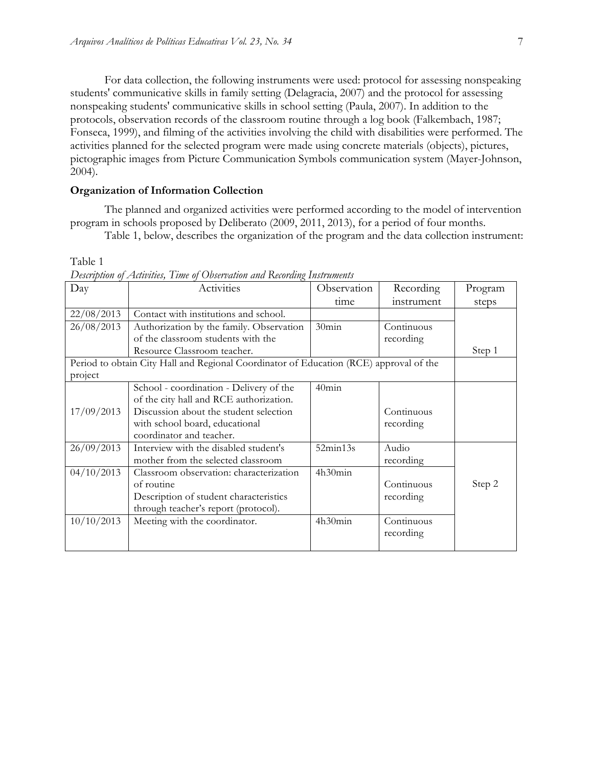For data collection, the following instruments were used: protocol for assessing nonspeaking students' communicative skills in family setting (Delagracia, 2007) and the protocol for assessing nonspeaking students' communicative skills in school setting (Paula, 2007). In addition to the protocols, observation records of the classroom routine through a log book (Falkembach, 1987; Fonseca, 1999), and filming of the activities involving the child with disabilities were performed. The activities planned for the selected program were made using concrete materials (objects), pictures, pictographic images from Picture Communication Symbols communication system (Mayer-Johnson, 2004).

#### **Organization of Information Collection**

The planned and organized activities were performed according to the model of intervention program in schools proposed by Deliberato (2009, 2011, 2013), for a period of four months.

Table 1, below, describes the organization of the program and the data collection instrument:

Table 1

| Day                                                                                    | Activities                               | Observation | Recording  | Program |
|----------------------------------------------------------------------------------------|------------------------------------------|-------------|------------|---------|
|                                                                                        |                                          | time        | instrument | steps   |
| 22/08/2013                                                                             | Contact with institutions and school.    |             |            |         |
| 26/08/2013                                                                             | Authorization by the family. Observation | 30min       | Continuous |         |
|                                                                                        | of the classroom students with the       |             | recording  |         |
|                                                                                        | Resource Classroom teacher.              |             |            | Step 1  |
| Period to obtain City Hall and Regional Coordinator of Education (RCE) approval of the |                                          |             |            |         |
| project                                                                                |                                          |             |            |         |
|                                                                                        | School - coordination - Delivery of the  | $40$ min    |            |         |
|                                                                                        | of the city hall and RCE authorization.  |             |            |         |
| 17/09/2013                                                                             | Discussion about the student selection   |             | Continuous |         |
|                                                                                        | with school board, educational           |             | recording  |         |
|                                                                                        | coordinator and teacher.                 |             |            |         |
| 26/09/2013                                                                             | Interview with the disabled student's    | 52min13s    | Audio      |         |
|                                                                                        | mother from the selected classroom       |             | recording  |         |
| 04/10/2013                                                                             | Classroom observation: characterization  | 4h30min     |            |         |
|                                                                                        | of routine                               |             | Continuous | Step 2  |
|                                                                                        | Description of student characteristics   |             | recording  |         |
|                                                                                        | through teacher's report (protocol).     |             |            |         |
| 10/10/2013                                                                             | Meeting with the coordinator.            | 4h30min     | Continuous |         |
|                                                                                        |                                          |             | recording  |         |
|                                                                                        |                                          |             |            |         |

*Description of Activities, Time of Observation and Recording Instruments*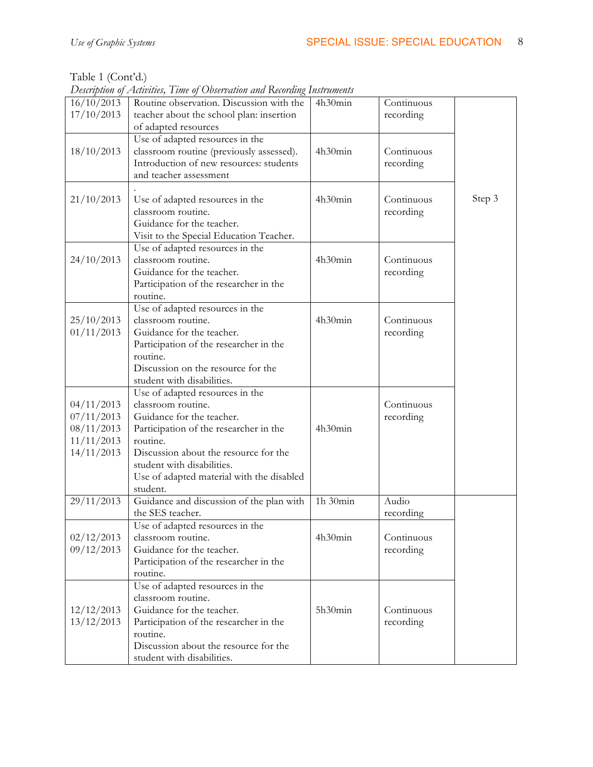Table 1 (Cont'd.)

*Description of Activities, Time of Observation and Recording Instruments*

| 16/10/2013<br>17/10/2013                                           | Routine observation. Discussion with the<br>teacher about the school plan: insertion<br>of adapted resources                                                                                                                                                             | 4h30min  | Continuous<br>recording |        |
|--------------------------------------------------------------------|--------------------------------------------------------------------------------------------------------------------------------------------------------------------------------------------------------------------------------------------------------------------------|----------|-------------------------|--------|
| 18/10/2013                                                         | Use of adapted resources in the<br>classroom routine (previously assessed).<br>Introduction of new resources: students<br>and teacher assessment                                                                                                                         | 4h30min  | Continuous<br>recording |        |
| 21/10/2013                                                         | Use of adapted resources in the<br>classroom routine.<br>Guidance for the teacher.<br>Visit to the Special Education Teacher.                                                                                                                                            | 4h30min  | Continuous<br>recording | Step 3 |
| 24/10/2013                                                         | Use of adapted resources in the<br>classroom routine.<br>Guidance for the teacher.<br>Participation of the researcher in the<br>routine.                                                                                                                                 | 4h30min  | Continuous<br>recording |        |
| 25/10/2013<br>01/11/2013                                           | Use of adapted resources in the<br>classroom routine.<br>Guidance for the teacher.<br>Participation of the researcher in the<br>routine.<br>Discussion on the resource for the<br>student with disabilities.                                                             | 4h30min  | Continuous<br>recording |        |
| 04/11/2013<br>07/11/2013<br>08/11/2013<br>11/11/2013<br>14/11/2013 | Use of adapted resources in the<br>classroom routine.<br>Guidance for the teacher.<br>Participation of the researcher in the<br>routine.<br>Discussion about the resource for the<br>student with disabilities.<br>Use of adapted material with the disabled<br>student. | 4h30min  | Continuous<br>recording |        |
| 29/11/2013                                                         | Guidance and discussion of the plan with<br>the SES teacher.                                                                                                                                                                                                             | 1h 30min | Audio<br>recording      |        |
| 02/12/2013<br>09/12/2013                                           | Use of adapted resources in the<br>classroom routine.<br>Guidance for the teacher.<br>Participation of the researcher in the<br>routine.                                                                                                                                 | 4h30min  | Continuous<br>recording |        |
| 12/12/2013<br>13/12/2013                                           | Use of adapted resources in the<br>classroom routine.<br>Guidance for the teacher.<br>Participation of the researcher in the<br>routine.<br>Discussion about the resource for the<br>student with disabilities.                                                          | 5h30min  | Continuous<br>recording |        |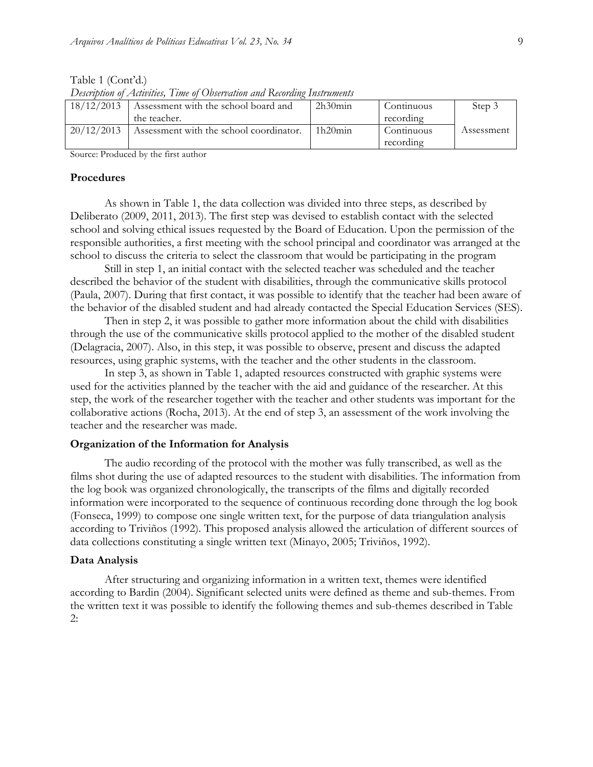Table 1 (Cont'd.)

*Description of Activities, Time of Observation and Recording Instruments*

| 18/12/2013 | Assessment with the school board and    | 2h30min | Continuous | Step 3     |
|------------|-----------------------------------------|---------|------------|------------|
|            | the teacher.                            |         | recording  |            |
| 20/12/2013 | Assessment with the school coordinator. | 1h20min | Continuous | Assessment |
|            |                                         |         | recording  |            |

Source: Produced by the first author

#### **Procedures**

As shown in Table 1, the data collection was divided into three steps, as described by Deliberato (2009, 2011, 2013). The first step was devised to establish contact with the selected school and solving ethical issues requested by the Board of Education. Upon the permission of the responsible authorities, a first meeting with the school principal and coordinator was arranged at the school to discuss the criteria to select the classroom that would be participating in the program

Still in step 1, an initial contact with the selected teacher was scheduled and the teacher described the behavior of the student with disabilities, through the communicative skills protocol (Paula, 2007). During that first contact, it was possible to identify that the teacher had been aware of the behavior of the disabled student and had already contacted the Special Education Services (SES).

Then in step 2, it was possible to gather more information about the child with disabilities through the use of the communicative skills protocol applied to the mother of the disabled student (Delagracia, 2007). Also, in this step, it was possible to observe, present and discuss the adapted resources, using graphic systems, with the teacher and the other students in the classroom.

In step 3, as shown in Table 1, adapted resources constructed with graphic systems were used for the activities planned by the teacher with the aid and guidance of the researcher. At this step, the work of the researcher together with the teacher and other students was important for the collaborative actions (Rocha, 2013). At the end of step 3, an assessment of the work involving the teacher and the researcher was made.

#### **Organization of the Information for Analysis**

The audio recording of the protocol with the mother was fully transcribed, as well as the films shot during the use of adapted resources to the student with disabilities. The information from the log book was organized chronologically, the transcripts of the films and digitally recorded information were incorporated to the sequence of continuous recording done through the log book (Fonseca, 1999) to compose one single written text, for the purpose of data triangulation analysis according to Triviños (1992). This proposed analysis allowed the articulation of different sources of data collections constituting a single written text (Minayo, 2005; Triviños, 1992).

#### **Data Analysis**

After structuring and organizing information in a written text, themes were identified according to Bardin (2004). Significant selected units were defined as theme and sub-themes. From the written text it was possible to identify the following themes and sub-themes described in Table 2: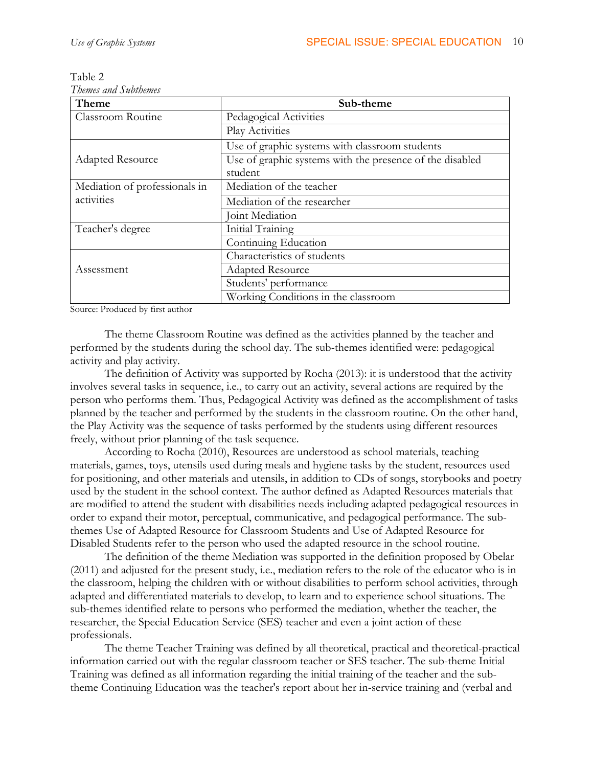| Theme                         | Sub-theme                                                |
|-------------------------------|----------------------------------------------------------|
| Classroom Routine             | Pedagogical Activities                                   |
|                               | Play Activities                                          |
|                               | Use of graphic systems with classroom students           |
| <b>Adapted Resource</b>       | Use of graphic systems with the presence of the disabled |
|                               | student                                                  |
| Mediation of professionals in | Mediation of the teacher                                 |
| activities                    | Mediation of the researcher                              |
|                               | Joint Mediation                                          |
| Teacher's degree              | Initial Training                                         |
|                               | Continuing Education                                     |
|                               | Characteristics of students                              |
| Assessment                    | <b>Adapted Resource</b>                                  |
|                               | Students' performance                                    |
|                               | Working Conditions in the classroom                      |

Table 2 *Themes and Subthemes*

Source: Produced by first author

The theme Classroom Routine was defined as the activities planned by the teacher and performed by the students during the school day. The sub-themes identified were: pedagogical activity and play activity.

The definition of Activity was supported by Rocha (2013): it is understood that the activity involves several tasks in sequence, i.e., to carry out an activity, several actions are required by the person who performs them. Thus, Pedagogical Activity was defined as the accomplishment of tasks planned by the teacher and performed by the students in the classroom routine. On the other hand, the Play Activity was the sequence of tasks performed by the students using different resources freely, without prior planning of the task sequence.

According to Rocha (2010), Resources are understood as school materials, teaching materials, games, toys, utensils used during meals and hygiene tasks by the student, resources used for positioning, and other materials and utensils, in addition to CDs of songs, storybooks and poetry used by the student in the school context. The author defined as Adapted Resources materials that are modified to attend the student with disabilities needs including adapted pedagogical resources in order to expand their motor, perceptual, communicative, and pedagogical performance. The subthemes Use of Adapted Resource for Classroom Students and Use of Adapted Resource for Disabled Students refer to the person who used the adapted resource in the school routine.

The definition of the theme Mediation was supported in the definition proposed by Obelar (2011) and adjusted for the present study, i.e., mediation refers to the role of the educator who is in the classroom, helping the children with or without disabilities to perform school activities, through adapted and differentiated materials to develop, to learn and to experience school situations. The sub-themes identified relate to persons who performed the mediation, whether the teacher, the researcher, the Special Education Service (SES) teacher and even a joint action of these professionals.

The theme Teacher Training was defined by all theoretical, practical and theoretical-practical information carried out with the regular classroom teacher or SES teacher. The sub-theme Initial Training was defined as all information regarding the initial training of the teacher and the subtheme Continuing Education was the teacher's report about her in-service training and (verbal and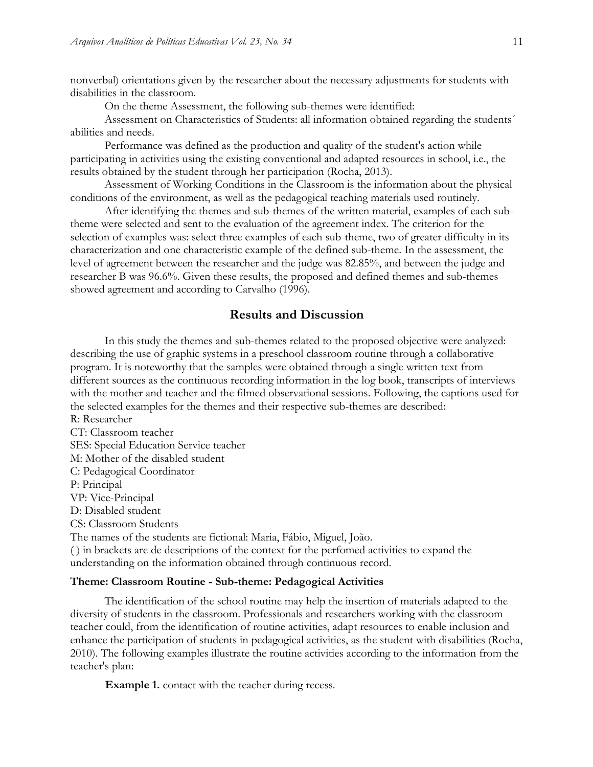nonverbal) orientations given by the researcher about the necessary adjustments for students with disabilities in the classroom.

On the theme Assessment, the following sub-themes were identified:

Assessment on Characteristics of Students: all information obtained regarding the students´ abilities and needs.

Performance was defined as the production and quality of the student's action while participating in activities using the existing conventional and adapted resources in school, i.e., the results obtained by the student through her participation (Rocha, 2013).

Assessment of Working Conditions in the Classroom is the information about the physical conditions of the environment, as well as the pedagogical teaching materials used routinely.

After identifying the themes and sub-themes of the written material, examples of each subtheme were selected and sent to the evaluation of the agreement index. The criterion for the selection of examples was: select three examples of each sub-theme, two of greater difficulty in its characterization and one characteristic example of the defined sub-theme. In the assessment, the level of agreement between the researcher and the judge was 82.85%, and between the judge and researcher B was 96.6%. Given these results, the proposed and defined themes and sub-themes showed agreement and according to Carvalho (1996).

## **Results and Discussion**

In this study the themes and sub-themes related to the proposed objective were analyzed: describing the use of graphic systems in a preschool classroom routine through a collaborative program. It is noteworthy that the samples were obtained through a single written text from different sources as the continuous recording information in the log book, transcripts of interviews with the mother and teacher and the filmed observational sessions. Following, the captions used for the selected examples for the themes and their respective sub-themes are described: R: Researcher

CT: Classroom teacher SES: Special Education Service teacher M: Mother of the disabled student C: Pedagogical Coordinator P: Principal VP: Vice-Principal D: Disabled student CS: Classroom Students The names of the students are fictional: Maria, Fábio, Miguel, João. ( ) in brackets are de descriptions of the context for the perfomed activities to expand the understanding on the information obtained through continuous record.

#### **Theme: Classroom Routine - Sub-theme: Pedagogical Activities**

The identification of the school routine may help the insertion of materials adapted to the diversity of students in the classroom. Professionals and researchers working with the classroom teacher could, from the identification of routine activities, adapt resources to enable inclusion and enhance the participation of students in pedagogical activities, as the student with disabilities (Rocha, 2010). The following examples illustrate the routine activities according to the information from the teacher's plan:

**Example 1.** contact with the teacher during recess.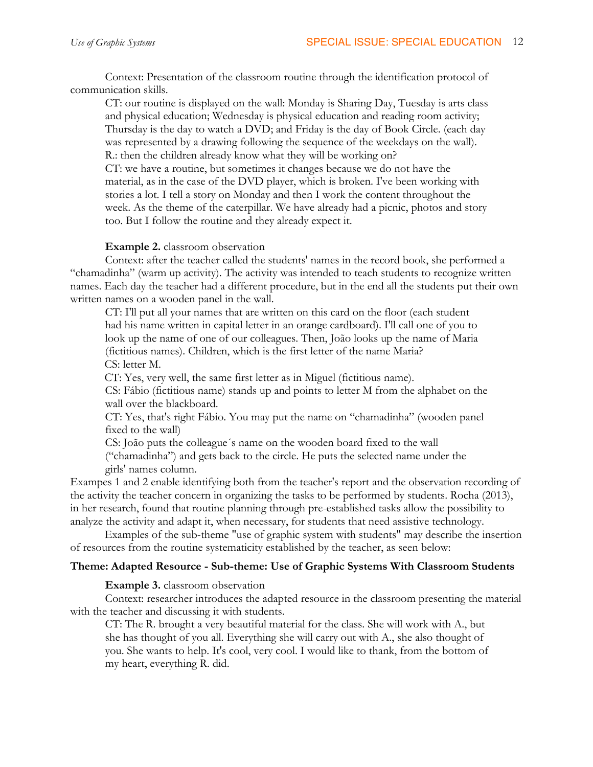Context: Presentation of the classroom routine through the identification protocol of communication skills.

CT: our routine is displayed on the wall: Monday is Sharing Day, Tuesday is arts class and physical education; Wednesday is physical education and reading room activity; Thursday is the day to watch a DVD; and Friday is the day of Book Circle. (each day was represented by a drawing following the sequence of the weekdays on the wall). R.: then the children already know what they will be working on?

CT: we have a routine, but sometimes it changes because we do not have the material, as in the case of the DVD player, which is broken. I've been working with stories a lot. I tell a story on Monday and then I work the content throughout the week. As the theme of the caterpillar. We have already had a picnic, photos and story too. But I follow the routine and they already expect it.

## **Example 2.** classroom observation

Context: after the teacher called the students' names in the record book, she performed a "chamadinha" (warm up activity). The activity was intended to teach students to recognize written names. Each day the teacher had a different procedure, but in the end all the students put their own written names on a wooden panel in the wall.

CT: I'll put all your names that are written on this card on the floor (each student had his name written in capital letter in an orange cardboard). I'll call one of you to look up the name of one of our colleagues. Then, João looks up the name of Maria (fictitious names). Children, which is the first letter of the name Maria? CS: letter M.

CT: Yes, very well, the same first letter as in Miguel (fictitious name).

CS: Fábio (fictitious name) stands up and points to letter M from the alphabet on the wall over the blackboard.

CT: Yes, that's right Fábio. You may put the name on "chamadinha" (wooden panel fixed to the wall)

CS: João puts the colleague´s name on the wooden board fixed to the wall ("chamadinha") and gets back to the circle. He puts the selected name under the girls' names column.

Exampes 1 and 2 enable identifying both from the teacher's report and the observation recording of the activity the teacher concern in organizing the tasks to be performed by students. Rocha (2013), in her research, found that routine planning through pre-established tasks allow the possibility to analyze the activity and adapt it, when necessary, for students that need assistive technology.

Examples of the sub-theme "use of graphic system with students" may describe the insertion of resources from the routine systematicity established by the teacher, as seen below:

## **Theme: Adapted Resource - Sub-theme: Use of Graphic Systems With Classroom Students**

**Example 3.** classroom observation

Context: researcher introduces the adapted resource in the classroom presenting the material with the teacher and discussing it with students.

CT: The R. brought a very beautiful material for the class. She will work with A., but she has thought of you all. Everything she will carry out with A., she also thought of you. She wants to help. It's cool, very cool. I would like to thank, from the bottom of my heart, everything R. did.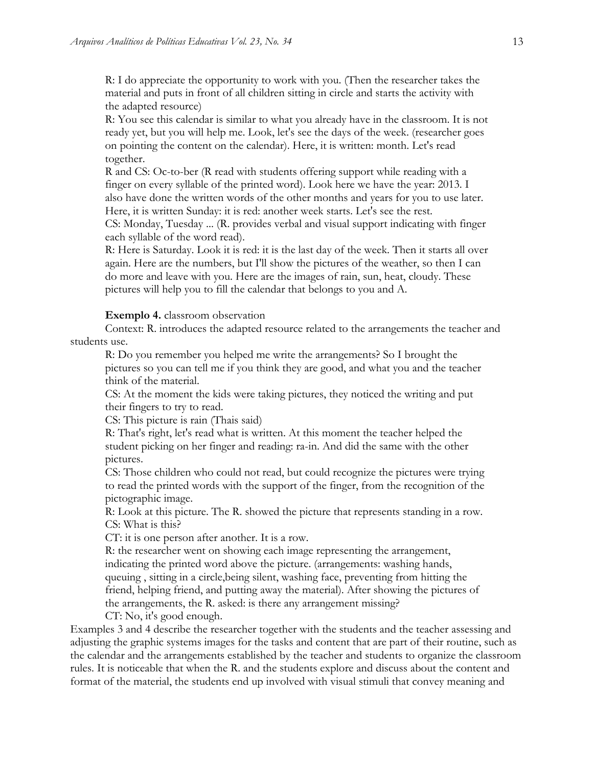R: I do appreciate the opportunity to work with you. (Then the researcher takes the material and puts in front of all children sitting in circle and starts the activity with the adapted resource)

R: You see this calendar is similar to what you already have in the classroom. It is not ready yet, but you will help me. Look, let's see the days of the week. (researcher goes on pointing the content on the calendar). Here, it is written: month. Let's read together.

R and CS: Oc-to-ber (R read with students offering support while reading with a finger on every syllable of the printed word). Look here we have the year: 2013. I also have done the written words of the other months and years for you to use later. Here, it is written Sunday: it is red: another week starts. Let's see the rest.

CS: Monday, Tuesday ... (R. provides verbal and visual support indicating with finger each syllable of the word read).

R: Here is Saturday. Look it is red: it is the last day of the week. Then it starts all over again. Here are the numbers, but I'll show the pictures of the weather, so then I can do more and leave with you. Here are the images of rain, sun, heat, cloudy. These pictures will help you to fill the calendar that belongs to you and A.

#### **Exemplo 4.** classroom observation

Context: R. introduces the adapted resource related to the arrangements the teacher and students use.

R: Do you remember you helped me write the arrangements? So I brought the pictures so you can tell me if you think they are good, and what you and the teacher think of the material.

CS: At the moment the kids were taking pictures, they noticed the writing and put their fingers to try to read.

CS: This picture is rain (Thais said)

R: That's right, let's read what is written. At this moment the teacher helped the student picking on her finger and reading: ra-in. And did the same with the other pictures.

CS: Those children who could not read, but could recognize the pictures were trying to read the printed words with the support of the finger, from the recognition of the pictographic image.

R: Look at this picture. The R. showed the picture that represents standing in a row. CS: What is this?

CT: it is one person after another. It is a row.

R: the researcher went on showing each image representing the arrangement, indicating the printed word above the picture. (arrangements: washing hands, queuing , sitting in a circle,being silent, washing face, preventing from hitting the friend, helping friend, and putting away the material). After showing the pictures of the arrangements, the R. asked: is there any arrangement missing?

CT: No, it's good enough.

Examples 3 and 4 describe the researcher together with the students and the teacher assessing and adjusting the graphic systems images for the tasks and content that are part of their routine, such as the calendar and the arrangements established by the teacher and students to organize the classroom rules. It is noticeable that when the R. and the students explore and discuss about the content and format of the material, the students end up involved with visual stimuli that convey meaning and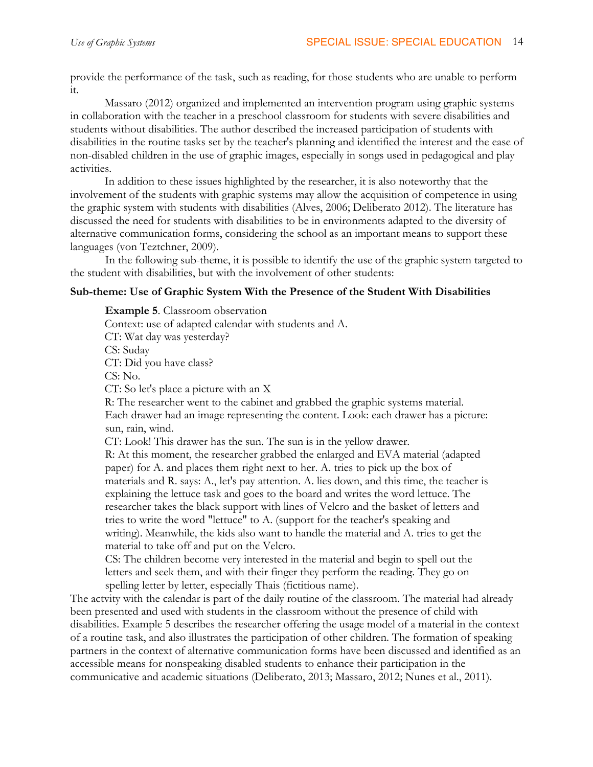provide the performance of the task, such as reading, for those students who are unable to perform it.

Massaro (2012) organized and implemented an intervention program using graphic systems in collaboration with the teacher in a preschool classroom for students with severe disabilities and students without disabilities. The author described the increased participation of students with disabilities in the routine tasks set by the teacher's planning and identified the interest and the ease of non-disabled children in the use of graphic images, especially in songs used in pedagogical and play activities.

In addition to these issues highlighted by the researcher, it is also noteworthy that the involvement of the students with graphic systems may allow the acquisition of competence in using the graphic system with students with disabilities (Alves, 2006; Deliberato 2012). The literature has discussed the need for students with disabilities to be in environments adapted to the diversity of alternative communication forms, considering the school as an important means to support these languages (von Teztchner, 2009).

In the following sub-theme, it is possible to identify the use of the graphic system targeted to the student with disabilities, but with the involvement of other students:

## **Sub-theme: Use of Graphic System With the Presence of the Student With Disabilities**

**Example 5**. Classroom observation Context: use of adapted calendar with students and A. CT: Wat day was yesterday? CS: Suday CT: Did you have class? CS: No. CT: So let's place a picture with an X R: The researcher went to the cabinet and grabbed the graphic systems material. Each drawer had an image representing the content. Look: each drawer has a picture: sun, rain, wind. CT: Look! This drawer has the sun. The sun is in the yellow drawer. R: At this moment, the researcher grabbed the enlarged and EVA material (adapted paper) for A. and places them right next to her. A. tries to pick up the box of materials and R. says: A., let's pay attention. A. lies down, and this time, the teacher is explaining the lettuce task and goes to the board and writes the word lettuce. The researcher takes the black support with lines of Velcro and the basket of letters and tries to write the word "lettuce" to A. (support for the teacher's speaking and writing). Meanwhile, the kids also want to handle the material and A. tries to get the material to take off and put on the Velcro.

CS: The children become very interested in the material and begin to spell out the letters and seek them, and with their finger they perform the reading. They go on spelling letter by letter, especially Thais (fictitious name).

The actvity with the calendar is part of the daily routine of the classroom. The material had already been presented and used with students in the classroom without the presence of child with disabilities. Example 5 describes the researcher offering the usage model of a material in the context of a routine task, and also illustrates the participation of other children. The formation of speaking partners in the context of alternative communication forms have been discussed and identified as an accessible means for nonspeaking disabled students to enhance their participation in the communicative and academic situations (Deliberato, 2013; Massaro, 2012; Nunes et al., 2011).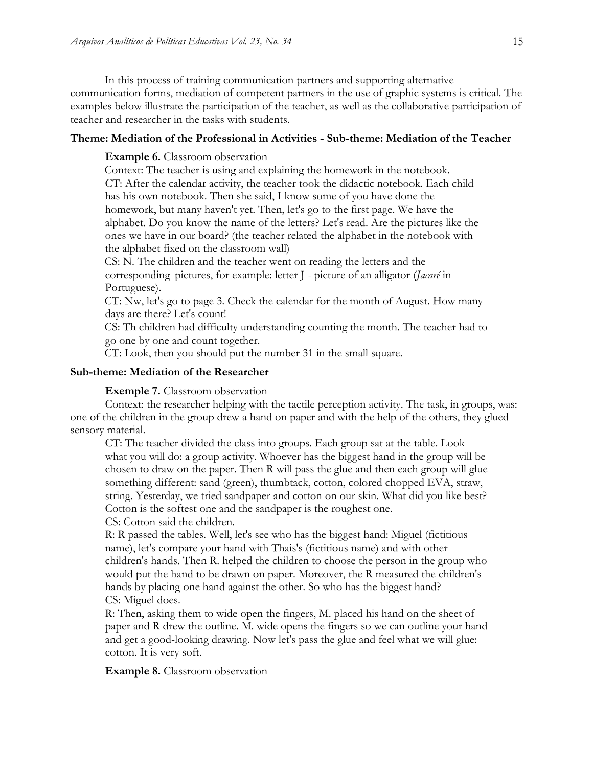In this process of training communication partners and supporting alternative communication forms, mediation of competent partners in the use of graphic systems is critical. The examples below illustrate the participation of the teacher, as well as the collaborative participation of teacher and researcher in the tasks with students.

#### **Theme: Mediation of the Professional in Activities - Sub-theme: Mediation of the Teacher**

#### **Example 6.** Classroom observation

Context: The teacher is using and explaining the homework in the notebook. CT: After the calendar activity, the teacher took the didactic notebook. Each child has his own notebook. Then she said, I know some of you have done the homework, but many haven't yet. Then, let's go to the first page. We have the alphabet. Do you know the name of the letters? Let's read. Are the pictures like the ones we have in our board? (the teacher related the alphabet in the notebook with the alphabet fixed on the classroom wall)

CS: N. The children and the teacher went on reading the letters and the corresponding pictures, for example: letter J - picture of an alligator (*Jacaré* in Portuguese).

CT: Nw, let's go to page 3. Check the calendar for the month of August. How many days are there? Let's count!

CS: Th children had difficulty understanding counting the month. The teacher had to go one by one and count together.

CT: Look, then you should put the number 31 in the small square.

#### **Sub-theme: Mediation of the Researcher**

**Exemple 7.** Classroom observation

Context: the researcher helping with the tactile perception activity. The task, in groups, was: one of the children in the group drew a hand on paper and with the help of the others, they glued sensory material.

CT: The teacher divided the class into groups. Each group sat at the table. Look what you will do: a group activity. Whoever has the biggest hand in the group will be chosen to draw on the paper. Then R will pass the glue and then each group will glue something different: sand (green), thumbtack, cotton, colored chopped EVA, straw, string. Yesterday, we tried sandpaper and cotton on our skin. What did you like best? Cotton is the softest one and the sandpaper is the roughest one.

CS: Cotton said the children.

R: R passed the tables. Well, let's see who has the biggest hand: Miguel (fictitious name), let's compare your hand with Thais's (fictitious name) and with other children's hands. Then R. helped the children to choose the person in the group who would put the hand to be drawn on paper. Moreover, the R measured the children's hands by placing one hand against the other. So who has the biggest hand? CS: Miguel does.

R: Then, asking them to wide open the fingers, M. placed his hand on the sheet of paper and R drew the outline. M. wide opens the fingers so we can outline your hand and get a good-looking drawing. Now let's pass the glue and feel what we will glue: cotton. It is very soft.

**Example 8.** Classroom observation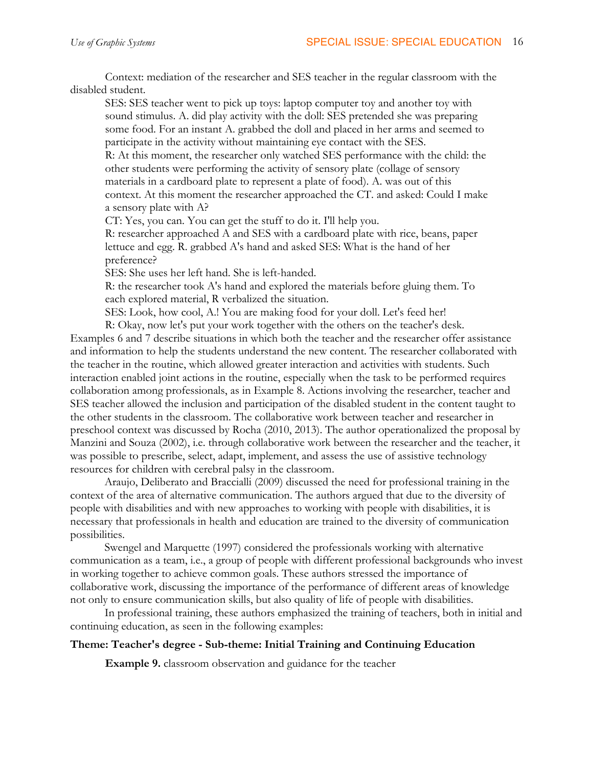Context: mediation of the researcher and SES teacher in the regular classroom with the disabled student.

SES: SES teacher went to pick up toys: laptop computer toy and another toy with sound stimulus. A. did play activity with the doll: SES pretended she was preparing some food. For an instant A. grabbed the doll and placed in her arms and seemed to participate in the activity without maintaining eye contact with the SES.

R: At this moment, the researcher only watched SES performance with the child: the other students were performing the activity of sensory plate (collage of sensory materials in a cardboard plate to represent a plate of food). A. was out of this context. At this moment the researcher approached the CT. and asked: Could I make a sensory plate with A?

CT: Yes, you can. You can get the stuff to do it. I'll help you.

R: researcher approached A and SES with a cardboard plate with rice, beans, paper lettuce and egg. R. grabbed A's hand and asked SES: What is the hand of her preference?

SES: She uses her left hand. She is left-handed.

R: the researcher took A's hand and explored the materials before gluing them. To each explored material, R verbalized the situation.

SES: Look, how cool, A.! You are making food for your doll. Let's feed her!

R: Okay, now let's put your work together with the others on the teacher's desk. Examples 6 and 7 describe situations in which both the teacher and the researcher offer assistance and information to help the students understand the new content. The researcher collaborated with the teacher in the routine, which allowed greater interaction and activities with students. Such interaction enabled joint actions in the routine, especially when the task to be performed requires collaboration among professionals, as in Example 8. Actions involving the researcher, teacher and SES teacher allowed the inclusion and participation of the disabled student in the content taught to the other students in the classroom. The collaborative work between teacher and researcher in preschool context was discussed by Rocha (2010, 2013). The author operationalized the proposal by Manzini and Souza (2002), i.e. through collaborative work between the researcher and the teacher, it was possible to prescribe, select, adapt, implement, and assess the use of assistive technology resources for children with cerebral palsy in the classroom.

Araujo, Deliberato and Braccialli (2009) discussed the need for professional training in the context of the area of alternative communication. The authors argued that due to the diversity of people with disabilities and with new approaches to working with people with disabilities, it is necessary that professionals in health and education are trained to the diversity of communication possibilities.

Swengel and Marquette (1997) considered the professionals working with alternative communication as a team, i.e., a group of people with different professional backgrounds who invest in working together to achieve common goals. These authors stressed the importance of collaborative work, discussing the importance of the performance of different areas of knowledge not only to ensure communication skills, but also quality of life of people with disabilities.

In professional training, these authors emphasized the training of teachers, both in initial and continuing education, as seen in the following examples:

## **Theme: Teacher's degree - Sub-theme: Initial Training and Continuing Education**

**Example 9.** classroom observation and guidance for the teacher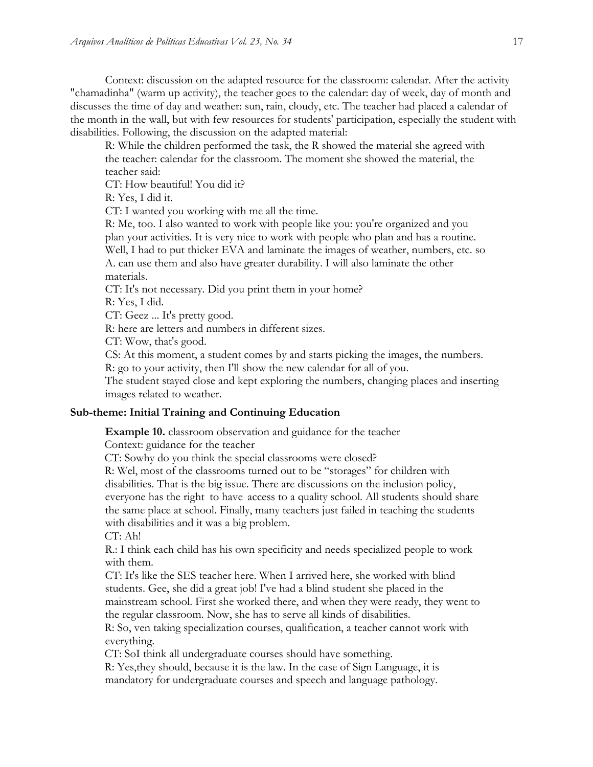Context: discussion on the adapted resource for the classroom: calendar. After the activity "chamadinha" (warm up activity), the teacher goes to the calendar: day of week, day of month and discusses the time of day and weather: sun, rain, cloudy, etc. The teacher had placed a calendar of the month in the wall, but with few resources for students' participation, especially the student with disabilities. Following, the discussion on the adapted material:

R: While the children performed the task, the R showed the material she agreed with the teacher: calendar for the classroom. The moment she showed the material, the teacher said:

CT: How beautiful! You did it?

R: Yes, I did it.

CT: I wanted you working with me all the time.

R: Me, too. I also wanted to work with people like you: you're organized and you plan your activities. It is very nice to work with people who plan and has a routine. Well, I had to put thicker EVA and laminate the images of weather, numbers, etc. so A. can use them and also have greater durability. I will also laminate the other materials.

CT: It's not necessary. Did you print them in your home?

R: Yes, I did.

CT: Geez ... It's pretty good.

R: here are letters and numbers in different sizes.

CT: Wow, that's good.

CS: At this moment, a student comes by and starts picking the images, the numbers.

R: go to your activity, then I'll show the new calendar for all of you.

The student stayed close and kept exploring the numbers, changing places and inserting images related to weather.

#### **Sub-theme: Initial Training and Continuing Education**

**Example 10.** classroom observation and guidance for the teacher

Context: guidance for the teacher

CT: Sowhy do you think the special classrooms were closed?

R: Wel, most of the classrooms turned out to be "storages" for children with

disabilities. That is the big issue. There are discussions on the inclusion policy,

everyone has the right to have access to a quality school. All students should share the same place at school. Finally, many teachers just failed in teaching the students with disabilities and it was a big problem.

CT: Ah!

R.: I think each child has his own specificity and needs specialized people to work with them.

CT: It's like the SES teacher here. When I arrived here, she worked with blind students. Gee, she did a great job! I've had a blind student she placed in the mainstream school. First she worked there, and when they were ready, they went to the regular classroom. Now, she has to serve all kinds of disabilities.

R: So, ven taking specialization courses, qualification, a teacher cannot work with everything.

CT: SoI think all undergraduate courses should have something.

R: Yes,they should, because it is the law. In the case of Sign Language, it is

mandatory for undergraduate courses and speech and language pathology.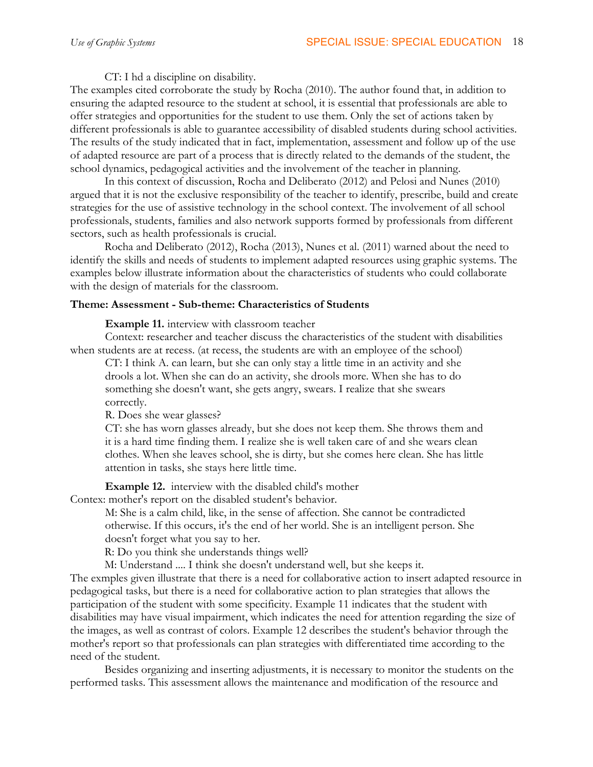CT: I hd a discipline on disability.

The examples cited corroborate the study by Rocha (2010). The author found that, in addition to ensuring the adapted resource to the student at school, it is essential that professionals are able to offer strategies and opportunities for the student to use them. Only the set of actions taken by different professionals is able to guarantee accessibility of disabled students during school activities. The results of the study indicated that in fact, implementation, assessment and follow up of the use of adapted resource are part of a process that is directly related to the demands of the student, the school dynamics, pedagogical activities and the involvement of the teacher in planning.

In this context of discussion, Rocha and Deliberato (2012) and Pelosi and Nunes (2010) argued that it is not the exclusive responsibility of the teacher to identify, prescribe, build and create strategies for the use of assistive technology in the school context. The involvement of all school professionals, students, families and also network supports formed by professionals from different sectors, such as health professionals is crucial.

Rocha and Deliberato (2012), Rocha (2013), Nunes et al. (2011) warned about the need to identify the skills and needs of students to implement adapted resources using graphic systems. The examples below illustrate information about the characteristics of students who could collaborate with the design of materials for the classroom.

## **Theme: Assessment - Sub-theme: Characteristics of Students**

**Example 11.** interview with classroom teacher

Context: researcher and teacher discuss the characteristics of the student with disabilities when students are at recess. (at recess, the students are with an employee of the school)

CT: I think A. can learn, but she can only stay a little time in an activity and she drools a lot. When she can do an activity, she drools more. When she has to do something she doesn't want, she gets angry, swears. I realize that she swears correctly.

R. Does she wear glasses?

CT: she has worn glasses already, but she does not keep them. She throws them and it is a hard time finding them. I realize she is well taken care of and she wears clean clothes. When she leaves school, she is dirty, but she comes here clean. She has little attention in tasks, she stays here little time.

**Example 12.** interview with the disabled child's mother

Contex: mother's report on the disabled student's behavior.

M: She is a calm child, like, in the sense of affection. She cannot be contradicted otherwise. If this occurs, it's the end of her world. She is an intelligent person. She doesn't forget what you say to her.

R: Do you think she understands things well?

M: Understand .... I think she doesn't understand well, but she keeps it.

The exmples given illustrate that there is a need for collaborative action to insert adapted resource in pedagogical tasks, but there is a need for collaborative action to plan strategies that allows the participation of the student with some specificity. Example 11 indicates that the student with disabilities may have visual impairment, which indicates the need for attention regarding the size of the images, as well as contrast of colors. Example 12 describes the student's behavior through the mother's report so that professionals can plan strategies with differentiated time according to the need of the student.

Besides organizing and inserting adjustments, it is necessary to monitor the students on the performed tasks. This assessment allows the maintenance and modification of the resource and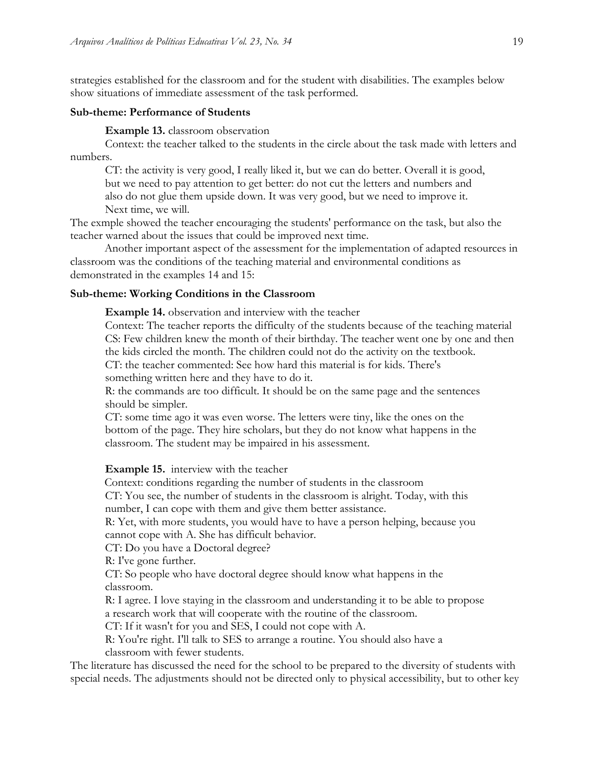strategies established for the classroom and for the student with disabilities. The examples below show situations of immediate assessment of the task performed.

#### **Sub-theme: Performance of Students**

**Example 13.** classroom observation

Context: the teacher talked to the students in the circle about the task made with letters and numbers.

CT: the activity is very good, I really liked it, but we can do better. Overall it is good, but we need to pay attention to get better: do not cut the letters and numbers and also do not glue them upside down. It was very good, but we need to improve it. Next time, we will.

The exmple showed the teacher encouraging the students' performance on the task, but also the teacher warned about the issues that could be improved next time.

Another important aspect of the assessment for the implementation of adapted resources in classroom was the conditions of the teaching material and environmental conditions as demonstrated in the examples 14 and 15:

#### **Sub-theme: Working Conditions in the Classroom**

**Example 14.** observation and interview with the teacher

Context: The teacher reports the difficulty of the students because of the teaching material CS: Few children knew the month of their birthday. The teacher went one by one and then the kids circled the month. The children could not do the activity on the textbook. CT: the teacher commented: See how hard this material is for kids. There's

something written here and they have to do it.

R: the commands are too difficult. It should be on the same page and the sentences should be simpler.

CT: some time ago it was even worse. The letters were tiny, like the ones on the bottom of the page. They hire scholars, but they do not know what happens in the classroom. The student may be impaired in his assessment.

#### **Example 15.** interview with the teacher

Context: conditions regarding the number of students in the classroom CT: You see, the number of students in the classroom is alright. Today, with this

number, I can cope with them and give them better assistance.

R: Yet, with more students, you would have to have a person helping, because you cannot cope with A. She has difficult behavior.

CT: Do you have a Doctoral degree?

R: I've gone further.

CT: So people who have doctoral degree should know what happens in the classroom.

R: I agree. I love staying in the classroom and understanding it to be able to propose a research work that will cooperate with the routine of the classroom.

CT: If it wasn't for you and SES, I could not cope with A.

R: You're right. I'll talk to SES to arrange a routine. You should also have a classroom with fewer students.

The literature has discussed the need for the school to be prepared to the diversity of students with special needs. The adjustments should not be directed only to physical accessibility, but to other key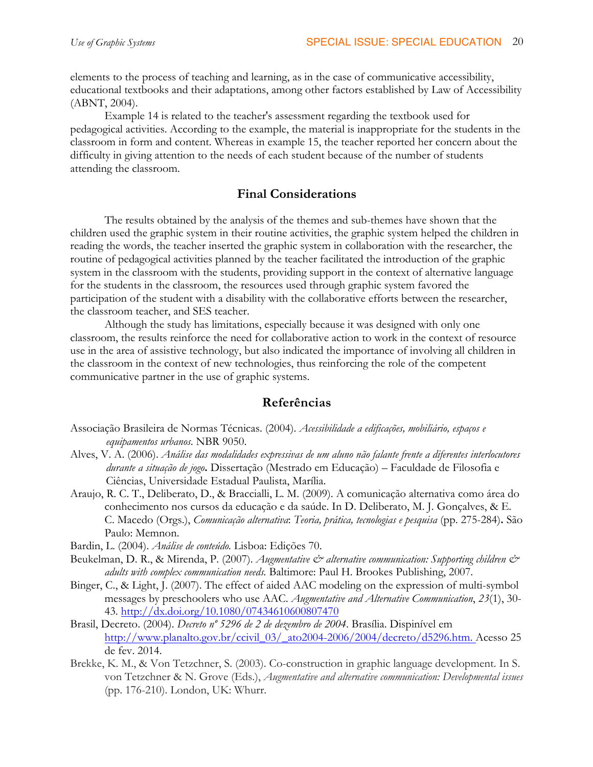elements to the process of teaching and learning, as in the case of communicative accessibility, educational textbooks and their adaptations, among other factors established by Law of Accessibility (ABNT, 2004).

Example 14 is related to the teacher's assessment regarding the textbook used for pedagogical activities. According to the example, the material is inappropriate for the students in the classroom in form and content. Whereas in example 15, the teacher reported her concern about the difficulty in giving attention to the needs of each student because of the number of students attending the classroom.

## **Final Considerations**

The results obtained by the analysis of the themes and sub-themes have shown that the children used the graphic system in their routine activities, the graphic system helped the children in reading the words, the teacher inserted the graphic system in collaboration with the researcher, the routine of pedagogical activities planned by the teacher facilitated the introduction of the graphic system in the classroom with the students, providing support in the context of alternative language for the students in the classroom, the resources used through graphic system favored the participation of the student with a disability with the collaborative efforts between the researcher, the classroom teacher, and SES teacher.

Although the study has limitations, especially because it was designed with only one classroom, the results reinforce the need for collaborative action to work in the context of resource use in the area of assistive technology, but also indicated the importance of involving all children in the classroom in the context of new technologies, thus reinforcing the role of the competent communicative partner in the use of graphic systems.

## **Referências**

- Associação Brasileira de Normas Técnicas. (2004). *Acessibilidade a edificações, mobiliário, espaços e equipamentos urbanos*. NBR 9050.
- Alves, V. A. (2006). *Análise das modalidades expressivas de um aluno não falante frente a diferentes interlocutores durante a situação de jogo***.** Dissertação (Mestrado em Educação) – Faculdade de Filosofia e Ciências, Universidade Estadual Paulista, Marília.
- Araujo, R. C. T., Deliberato, D., & Braccialli, L. M. (2009). A comunicação alternativa como área do conhecimento nos cursos da educação e da saúde. In D. Deliberato, M. J. Gonçalves, & E. C. Macedo (Orgs.), *Comunicação alternativa*: *Teoria, prática, tecnologias e pesquisa* (pp. 275-284)**.** São Paulo: Memnon.
- Bardin, L. (2004). *Análise de conteúdo.* Lisboa: Edições 70.
- Beukelman, D. R., & Mirenda, P. (2007). *Augmentative & alternative communication: Supporting children & adults with complex communication needs.* Baltimore: Paul H. Brookes Publishing, 2007.
- Binger, C., & Light, J. (2007). The effect of aided AAC modeling on the expression of multi-symbol messages by preschoolers who use AAC. *Augmentative and Alternative Communication*, *23*(1), 30- 43. http://dx.doi.org/10.1080/07434610600807470
- Brasil, Decreto. (2004). *Decreto nº 5296 de 2 de dezembro de 2004*. Brasília. Dispinível em http://www.planalto.gov.br/ccivil\_03/\_ato2004-2006/2004/decreto/d5296.htm. Acesso 25 de fev. 2014.
- Brekke, K. M., & Von Tetzchner, S. (2003). Co-construction in graphic language development. In S. von Tetzchner & N. Grove (Eds.), *Augmentative and alternative communication: Developmental issues*  (pp. 176-210). London, UK: Whurr.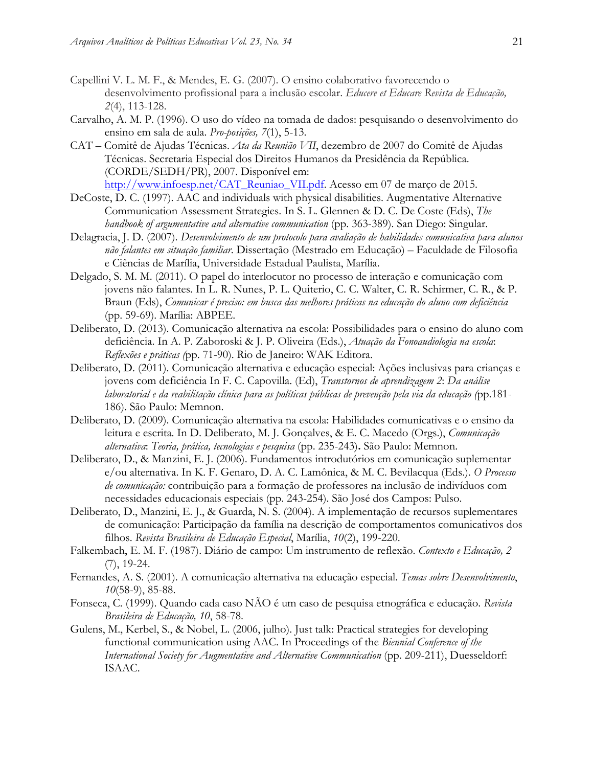- Capellini V. L. M. F., & Mendes, E. G. (2007). O ensino colaborativo favorecendo o desenvolvimento profissional para a inclusão escolar. *Educere et Educare Revista de Educação, 2*(4), 113-128.
- Carvalho, A. M. P. (1996). O uso do vídeo na tomada de dados: pesquisando o desenvolvimento do ensino em sala de aula. *Pro-posições, 7*(1), 5-13.
- CAT Comitê de Ajudas Técnicas. *Ata da Reunião VII*, dezembro de 2007 do Comitê de Ajudas Técnicas. Secretaria Especial dos Direitos Humanos da Presidência da República. (CORDE/SEDH/PR), 2007. Disponível em: http://www.infoesp.net/CAT\_Reuniao\_VII.pdf. Acesso em 07 de março de 2015.
- DeCoste, D. C. (1997). AAC and individuals with physical disabilities. Augmentative Alternative Communication Assessment Strategies. In S. L. Glennen & D. C. De Coste (Eds), *The handbook of argumentative and alternative communication* (pp. 363-389). San Diego: Singular.
- Delagracia, J. D. (2007). *Desenvolvimento de um protocolo para avaliação de habilidades comunicativa para alunos não falantes em situação familiar*. Dissertação (Mestrado em Educação) – Faculdade de Filosofia e Ciências de Marília, Universidade Estadual Paulista, Marília.
- Delgado, S. M. M. (2011). O papel do interlocutor no processo de interação e comunicação com jovens não falantes. In L. R. Nunes, P. L. Quiterio, C. C. Walter, C. R. Schirmer, C. R., & P. Braun (Eds), *Comunicar é preciso: em busca das melhores práticas na educação do aluno com deficiência* (pp. 59-69). Marília: ABPEE.
- Deliberato, D. (2013). Comunicação alternativa na escola: Possibilidades para o ensino do aluno com deficiência. In A. P. Zaboroski & J. P. Oliveira (Eds.), *Atuação da Fonoaudiologia na escola*: *Reflexões e práticas (*pp. 71-90). Rio de Janeiro: WAK Editora.
- Deliberato, D. (2011). Comunicação alternativa e educação especial: Ações inclusivas para crianças e jovens com deficiência In F. C. Capovilla. (Ed), *Transtornos de aprendizagem 2*: *Da análise laboratorial e da reabilitação clínica para as políticas públicas de prevenção pela via da educação (*pp.181- 186). São Paulo: Memnon.
- Deliberato, D. (2009). Comunicação alternativa na escola: Habilidades comunicativas e o ensino da leitura e escrita. In D. Deliberato, M. J. Gonçalves, & E. C. Macedo (Orgs.), *Comunicação alternativa*: *Teoria, prática, tecnologias e pesquisa* (pp. 235-243)**.** São Paulo: Memnon.
- Deliberato, D., & Manzini, E. J. (2006). Fundamentos introdutórios em comunicação suplementar e/ou alternativa. In K. F. Genaro, D. A. C. Lamônica, & M. C. Bevilacqua (Eds.). *O Processo de comunicação:* contribuição para a formação de professores na inclusão de indivíduos com necessidades educacionais especiais (pp. 243-254). São José dos Campos: Pulso.
- Deliberato, D., Manzini, E. J., & Guarda, N. S. (2004). A implementação de recursos suplementares de comunicação: Participação da família na descrição de comportamentos comunicativos dos filhos. *Revista Brasileira de Educação Especial*, Marília, *10*(2), 199-220.
- Falkembach, E. M. F. (1987). Diário de campo: Um instrumento de reflexão. *Contexto e Educação, 2* (7), 19-24.
- Fernandes, A. S. (2001). A comunicação alternativa na educação especial. *Temas sobre Desenvolvimento*, *10*(58-9), 85-88.
- Fonseca, C. (1999). Quando cada caso NÃO é um caso de pesquisa etnográfica e educação. *Revista Brasileira de Educação, 10*, 58-78.
- Gulens, M., Kerbel, S., & Nobel, L. (2006, julho). Just talk: Practical strategies for developing functional communication using AAC. In Proceedings of the *Biennial Conference of the International Society for Augmentative and Alternative Communication* (pp. 209-211), Duesseldorf: ISAAC.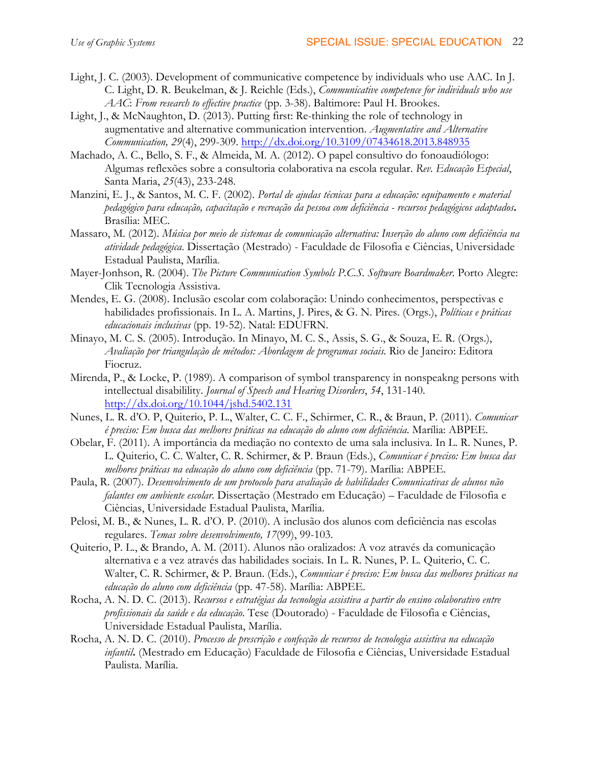- Light, J. C. (2003). Development of communicative competence by individuals who use AAC. In J. C. Light, D. R. Beukelman, & J. Reichle (Eds.), *Communicative competence for individuals who use AAC*: *From research to effective practice* (pp. 3-38). Baltimore: Paul H. Brookes.
- Light, J., & McNaughton, D. (2013). Putting first: Re-thinking the role of technology in augmentative and alternative communication intervention. *Augmentative and Alternative Communication, 29*(4), 299-309. http://dx.doi.org/10.3109/07434618.2013.848935
- Machado, A. C., Bello, S. F., & Almeida, M. A. (2012). O papel consultivo do fonoaudiólogo: Algumas reflexões sobre a consultoria colaborativa na escola regular. *Rev. Educação Especial*, Santa Maria, *25*(43), 233-248.
- Manzini, E. J., & Santos, M. C. F. (2002). *Portal de ajudas técnicas para a educação: equipamento e material pedagógico para educação, capacitação e recreação da pessoa com deficiência - recursos pedagógicos adaptados***.**  Brasília: MEC.
- Massaro, M. (2012). *Música por meio de sistemas de comunicação alternativa: Inserção do aluno com deficiência na atividade pedagógica*. Dissertação (Mestrado) - Faculdade de Filosofia e Ciências, Universidade Estadual Paulista, Marília.
- Mayer-Jonhson, R. (2004). *The Picture Communication Symbols P.C.S. Software Boardmaker*. Porto Alegre: Clik Tecnologia Assistiva.
- Mendes, E. G. (2008). Inclusão escolar com colaboração: Unindo conhecimentos, perspectivas e habilidades profissionais. In L. A. Martins, J. Pires, & G. N. Pires. (Orgs.), *Políticas e práticas educacionais inclusivas* (pp. 19-52). Natal: EDUFRN.
- Minayo, M. C. S. (2005). Introdução. In Minayo, M. C. S., Assis, S. G., & Souza, E. R. (Orgs.), *Avaliação por triangulação de métodos: Abordagem de programas sociais.* Rio de Janeiro: Editora Fiocruz.
- Mirenda, P., & Locke, P. (1989). A comparison of symbol transparency in nonspeakng persons with intellectual disabilility. *Journal of Speech and Hearing Disorders*, *54*, 131-140. http://dx.doi.org/10.1044/jshd.5402.131
- Nunes, L. R. d'O. P, Quiterio, P. L., Walter, C. C. F., Schirmer, C. R., & Braun, P. (2011). *Comunicar é preciso: Em busca das melhores práticas na educação do aluno com deficiência*. Marília: ABPEE.
- Obelar, F. (2011). A importância da mediação no contexto de uma sala inclusiva. In L. R. Nunes, P. L. Quiterio, C. C. Walter, C. R. Schirmer, & P. Braun (Eds.), *Comunicar é preciso: Em busca das melhores práticas na educação do aluno com deficiência* (pp. 71-79). Marília: ABPEE.
- Paula, R. (2007). *Desenvolvimento de um protocolo para avaliação de habilidades Comunicativas de alunos não falantes em ambiente escolar.* Dissertação (Mestrado em Educação) – Faculdade de Filosofia e Ciências, Universidade Estadual Paulista, Marília.
- Pelosi, M. B., & Nunes, L. R. d'O. P. (2010). A inclusão dos alunos com deficiência nas escolas regulares. *Temas sobre desenvolvimento, 17*(99), 99-103.
- Quiterio, P. L., & Brando, A. M. (2011). Alunos não oralizados: A voz através da comunicação alternativa e a vez através das habilidades sociais. In L. R. Nunes, P. L. Quiterio, C. C. Walter, C. R. Schirmer, & P. Braun. (Eds.), *Comunicar é preciso: Em busca das melhores práticas na educação do aluno com deficiência* (pp. 47-58). Marília: ABPEE.
- Rocha, A. N. D. C. (2013). *Recursos e estratégias da tecnologia assistiva a partir do ensino colaborativo entre profissionais da saúde e da educação*. Tese (Doutorado) - Faculdade de Filosofia e Ciências, Universidade Estadual Paulista, Marília.
- Rocha, A. N. D. C. (2010). *Processo de prescrição e confecção de recursos de tecnologia assistiva na educação infantil***.** (Mestrado em Educação) Faculdade de Filosofia e Ciências, Universidade Estadual Paulista. Marília.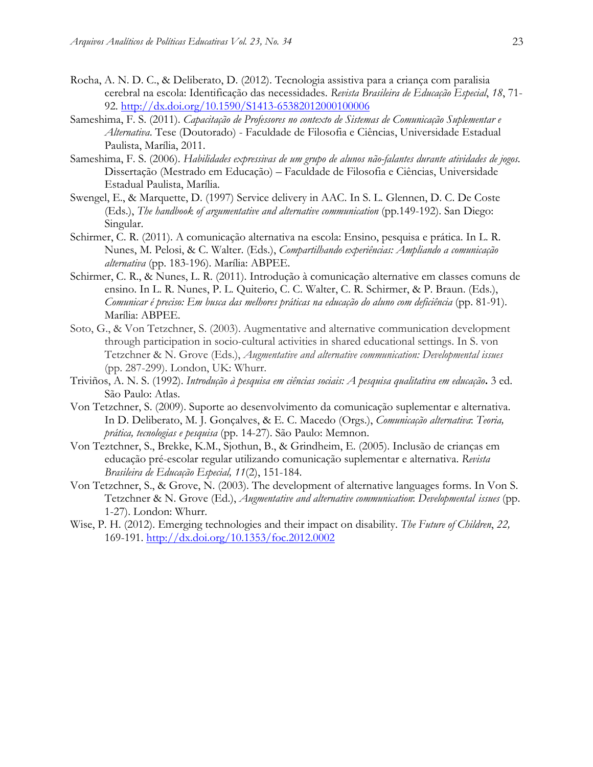- Rocha, A. N. D. C., & Deliberato, D. (2012). Tecnologia assistiva para a criança com paralisia cerebral na escola: Identificação das necessidades. *Revista Brasileira de Educação Especial*, *18*, 71- 92. http://dx.doi.org/10.1590/S1413-65382012000100006
- Sameshima, F. S. (2011). *Capacitação de Professores no contexto de Sistemas de Comunicação Suplementar e Alternativa*. Tese (Doutorado) - Faculdade de Filosofia e Ciências, Universidade Estadual Paulista, Marília, 2011.
- Sameshima, F. S. (2006). *Habilidades expressivas de um grupo de alunos não-falantes durante atividades de jogos.* Dissertação (Mestrado em Educação) – Faculdade de Filosofia e Ciências, Universidade Estadual Paulista, Marília.
- Swengel, E., & Marquette, D. (1997) Service delivery in AAC. In S. L. Glennen, D. C. De Coste (Eds.), *The handbook of argumentative and alternative communication* (pp.149-192). San Diego: Singular.
- Schirmer, C. R. (2011). A comunicação alternativa na escola: Ensino, pesquisa e prática. In L. R. Nunes, M. Pelosi, & C. Walter. (Eds.), *Compartilhando experiências: Ampliando a comunicação alternativa* (pp. 183-196). Marília: ABPEE.
- Schirmer, C. R., & Nunes, L. R. (2011). Introdução à comunicação alternative em classes comuns de ensino. In L. R. Nunes, P. L. Quiterio, C. C. Walter, C. R. Schirmer, & P. Braun. (Eds.), *Comunicar é preciso: Em busca das melhores práticas na educação do aluno com deficiência* (pp. 81-91). Marília: ABPEE.
- Soto, G., & Von Tetzchner, S. (2003). Augmentative and alternative communication development through participation in socio-cultural activities in shared educational settings. In S. von Tetzchner & N. Grove (Eds.), *Augmentative and alternative communication: Developmental issues* (pp. 287-299). London, UK: Whurr.
- Triviños, A. N. S. (1992). *Introdução à pesquisa em ciências sociais: A pesquisa qualitativa em educação***.** 3 ed. São Paulo: Atlas.
- Von Tetzchner, S. (2009). Suporte ao desenvolvimento da comunicação suplementar e alternativa. In D. Deliberato, M. J. Gonçalves, & E. C. Macedo (Orgs.), *Comunicação alternativa*: *Teoria, prática, tecnologias e pesquisa* (pp. 14-27). São Paulo: Memnon.
- Von Teztchner, S., Brekke, K.M., Sjothun, B., & Grindheim, E. (2005). Inclusão de crianças em educação pré-escolar regular utilizando comunicação suplementar e alternativa. *Revista Brasileira de Educação Especial, 11*(2), 151-184.
- Von Tetzchner, S., & Grove, N. (2003). The development of alternative languages forms. In Von S. Tetzchner & N. Grove (Ed.), *Augmentative and alternative communication*: *Developmental issues* (pp. 1-27). London: Whurr.
- Wise, P. H. (2012). Emerging technologies and their impact on disability. *The Future of Children*, *22,* 169-191. http://dx.doi.org/10.1353/foc.2012.0002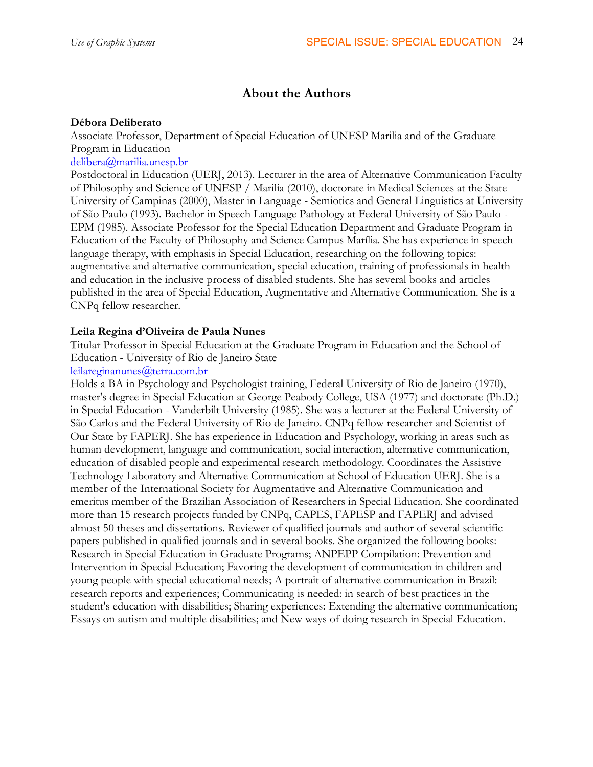## **About the Authors**

## **Débora Deliberato**

Associate Professor, Department of Special Education of UNESP Marilia and of the Graduate Program in Education

## delibera@marilia.unesp.br

Postdoctoral in Education (UERJ, 2013). Lecturer in the area of Alternative Communication Faculty of Philosophy and Science of UNESP / Marilia (2010), doctorate in Medical Sciences at the State University of Campinas (2000), Master in Language - Semiotics and General Linguistics at University of São Paulo (1993). Bachelor in Speech Language Pathology at Federal University of São Paulo - EPM (1985). Associate Professor for the Special Education Department and Graduate Program in Education of the Faculty of Philosophy and Science Campus Marília. She has experience in speech language therapy, with emphasis in Special Education, researching on the following topics: augmentative and alternative communication, special education, training of professionals in health and education in the inclusive process of disabled students. She has several books and articles published in the area of Special Education, Augmentative and Alternative Communication. She is a CNPq fellow researcher.

## **Leila Regina d'Oliveira de Paula Nunes**

Titular Professor in Special Education at the Graduate Program in Education and the School of Education - University of Rio de Janeiro State

## leilareginanunes@terra.com.br

Holds a BA in Psychology and Psychologist training, Federal University of Rio de Janeiro (1970), master's degree in Special Education at George Peabody College, USA (1977) and doctorate (Ph.D.) in Special Education - Vanderbilt University (1985). She was a lecturer at the Federal University of São Carlos and the Federal University of Rio de Janeiro. CNPq fellow researcher and Scientist of Our State by FAPERJ. She has experience in Education and Psychology, working in areas such as human development, language and communication, social interaction, alternative communication, education of disabled people and experimental research methodology. Coordinates the Assistive Technology Laboratory and Alternative Communication at School of Education UERJ. She is a member of the International Society for Augmentative and Alternative Communication and emeritus member of the Brazilian Association of Researchers in Special Education. She coordinated more than 15 research projects funded by CNPq, CAPES, FAPESP and FAPERJ and advised almost 50 theses and dissertations. Reviewer of qualified journals and author of several scientific papers published in qualified journals and in several books. She organized the following books: Research in Special Education in Graduate Programs; ANPEPP Compilation: Prevention and Intervention in Special Education; Favoring the development of communication in children and young people with special educational needs; A portrait of alternative communication in Brazil: research reports and experiences; Communicating is needed: in search of best practices in the student's education with disabilities; Sharing experiences: Extending the alternative communication; Essays on autism and multiple disabilities; and New ways of doing research in Special Education.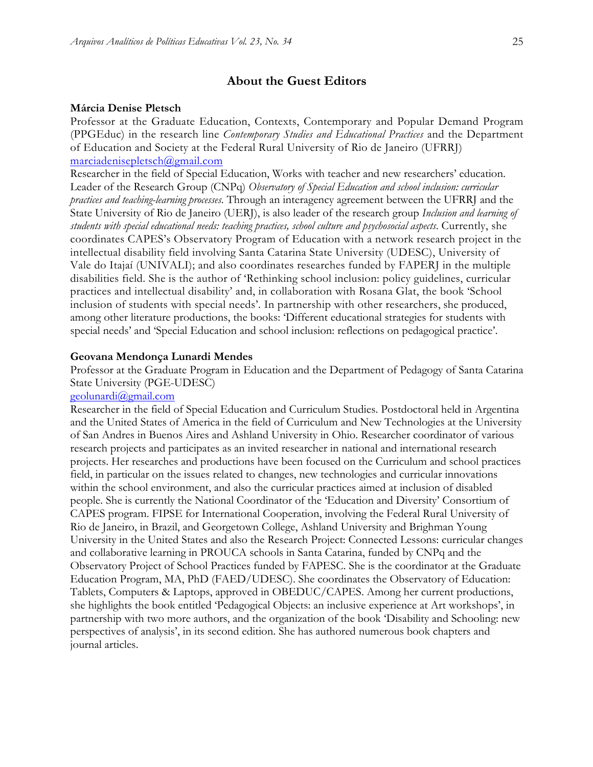### **About the Guest Editors**

#### **Márcia Denise Pletsch**

Professor at the Graduate Education, Contexts, Contemporary and Popular Demand Program (PPGEduc) in the research line *Contemporary Studies and Educational Practices* and the Department of Education and Society at the Federal Rural University of Rio de Janeiro (UFRRJ) marciadenisepletsch@gmail.com

Researcher in the field of Special Education, Works with teacher and new researchers' education. Leader of the Research Group (CNPq) *Observatory of Special Education and school inclusion: curricular practices and teaching-learning processes*. Through an interagency agreement between the UFRRJ and the State University of Rio de Janeiro (UERJ), is also leader of the research group *Inclusion and learning of students with special educational needs: teaching practices, school culture and psychosocial aspects*. Currently, she coordinates CAPES's Observatory Program of Education with a network research project in the intellectual disability field involving Santa Catarina State University (UDESC), University of Vale do Itajaí (UNIVALI); and also coordinates researches funded by FAPERJ in the multiple disabilities field. She is the author of 'Rethinking school inclusion: policy guidelines, curricular practices and intellectual disability' and, in collaboration with Rosana Glat, the book 'School inclusion of students with special needs'. In partnership with other researchers, she produced, among other literature productions, the books: 'Different educational strategies for students with special needs' and 'Special Education and school inclusion: reflections on pedagogical practice'.

#### **Geovana Mendonça Lunardi Mendes**

Professor at the Graduate Program in Education and the Department of Pedagogy of Santa Catarina State University (PGE-UDESC)

#### geolunardi@gmail.com

Researcher in the field of Special Education and Curriculum Studies. Postdoctoral held in Argentina and the United States of America in the field of Curriculum and New Technologies at the University of San Andres in Buenos Aires and Ashland University in Ohio. Researcher coordinator of various research projects and participates as an invited researcher in national and international research projects. Her researches and productions have been focused on the Curriculum and school practices field, in particular on the issues related to changes, new technologies and curricular innovations within the school environment, and also the curricular practices aimed at inclusion of disabled people. She is currently the National Coordinator of the 'Education and Diversity' Consortium of CAPES program. FIPSE for International Cooperation, involving the Federal Rural University of Rio de Janeiro, in Brazil, and Georgetown College, Ashland University and Brighman Young University in the United States and also the Research Project: Connected Lessons: curricular changes and collaborative learning in PROUCA schools in Santa Catarina, funded by CNPq and the Observatory Project of School Practices funded by FAPESC. She is the coordinator at the Graduate Education Program, MA, PhD (FAED/UDESC). She coordinates the Observatory of Education: Tablets, Computers & Laptops, approved in OBEDUC/CAPES. Among her current productions, she highlights the book entitled 'Pedagogical Objects: an inclusive experience at Art workshops', in partnership with two more authors, and the organization of the book 'Disability and Schooling: new perspectives of analysis', in its second edition. She has authored numerous book chapters and journal articles.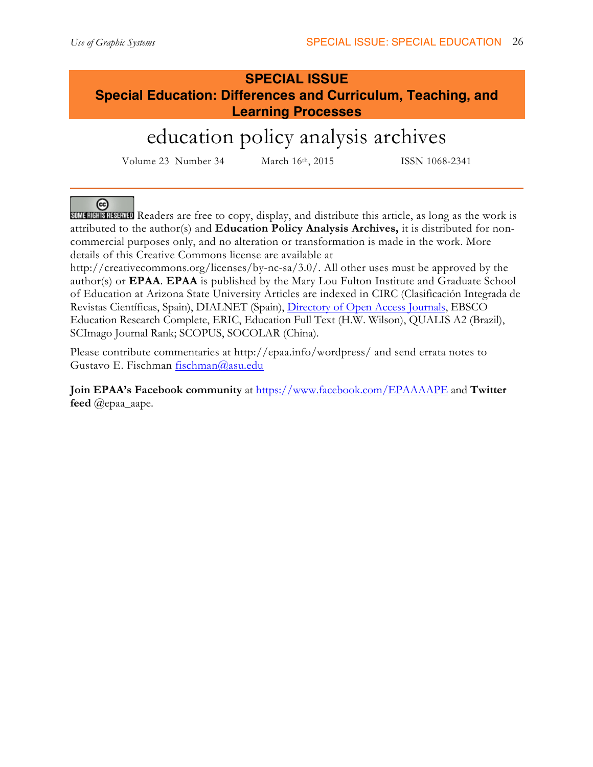# **SPECIAL ISSUE Special Education: Differences and Curriculum, Teaching, and Learning Processes**

# education policy analysis archives

Volume 23 Number 34 March 16th, 2015 ISSN 1068-2341

⊛

SOME RIGHTS RESERVED Readers are free to copy, display, and distribute this article, as long as the work is attributed to the author(s) and **Education Policy Analysis Archives,** it is distributed for noncommercial purposes only, and no alteration or transformation is made in the work. More details of this Creative Commons license are available at

http://creativecommons.org/licenses/by-nc-sa/3.0/. All other uses must be approved by the author(s) or **EPAA**. **EPAA** is published by the Mary Lou Fulton Institute and Graduate School of Education at Arizona State University Articles are indexed in CIRC (Clasificación Integrada de Revistas Científicas, Spain), DIALNET (Spain), Directory of Open Access Journals, EBSCO Education Research Complete, ERIC, Education Full Text (H.W. Wilson), QUALIS A2 (Brazil), SCImago Journal Rank; SCOPUS, SOCOLAR (China).

Please contribute commentaries at http://epaa.info/wordpress/ and send errata notes to Gustavo E. Fischman fischman@asu.edu

**Join EPAA's Facebook community** at https://www.facebook.com/EPAAAAPE and **Twitter feed** @epaa\_aape.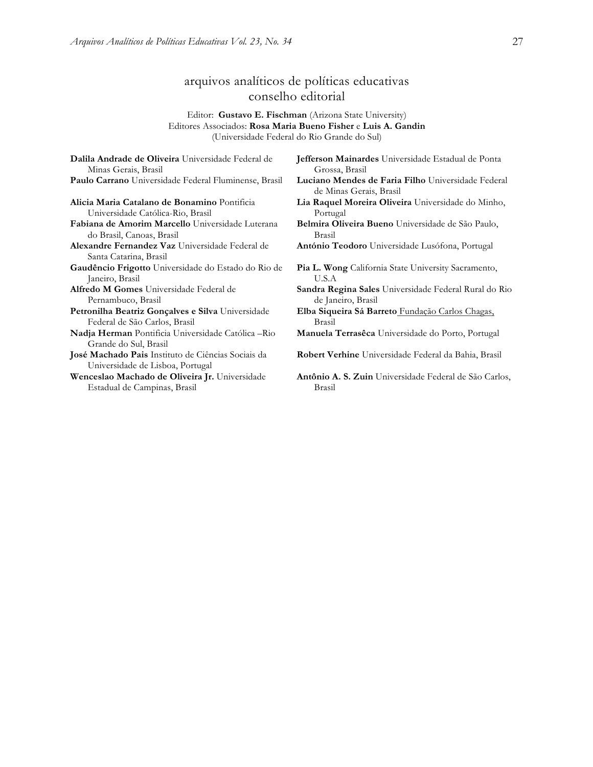## arquivos analíticos de políticas educativas conselho editorial

Editor: **Gustavo E. Fischman** (Arizona State University) Editores Associados: **Rosa Maria Bueno Fisher** e **Luis A. Gandin** (Universidade Federal do Rio Grande do Sul)

**Dalila Andrade de Oliveira** Universidade Federal de Minas Gerais, Brasil **Paulo Carrano** Universidade Federal Fluminense, Brasil **Luciano Mendes de Faria Filho** Universidade Federal **Alicia Maria Catalano de Bonamino** Pontificia Universidade Católica-Rio, Brasil **Fabiana de Amorim Marcello** Universidade Luterana do Brasil, Canoas, Brasil **Alexandre Fernandez Vaz** Universidade Federal de Santa Catarina, Brasil **Gaudêncio Frigotto** Universidade do Estado do Rio de Janeiro, Brasil **Alfredo M Gomes** Universidade Federal de Pernambuco, Brasil **Petronilha Beatriz Gonçalves e Silva** Universidade Federal de São Carlos, Brasil **Nadja Herman** Pontificia Universidade Católica –Rio Grande do Sul, Brasil **José Machado Pais** Instituto de Ciências Sociais da Universidade de Lisboa, Portugal **Wenceslao Machado de Oliveira Jr.** Universidade Estadual de Campinas, Brasil

**Jefferson Mainardes** Universidade Estadual de Ponta Grossa, Brasil

- de Minas Gerais, Brasil
- **Lia Raquel Moreira Oliveira** Universidade do Minho, Portugal

**Belmira Oliveira Bueno** Universidade de São Paulo, Brasil

**António Teodoro** Universidade Lusófona, Portugal

Pia L. Wong California State University Sacramento, U.S.A

- **Sandra Regina Sales** Universidade Federal Rural do Rio de Janeiro, Brasil
- **Elba Siqueira Sá Barreto** Fundação Carlos Chagas, Brasil

**Manuela Terrasêca** Universidade do Porto, Portugal

- **Robert Verhine** Universidade Federal da Bahia, Brasil
- **Antônio A. S. Zuin** Universidade Federal de São Carlos, Brasil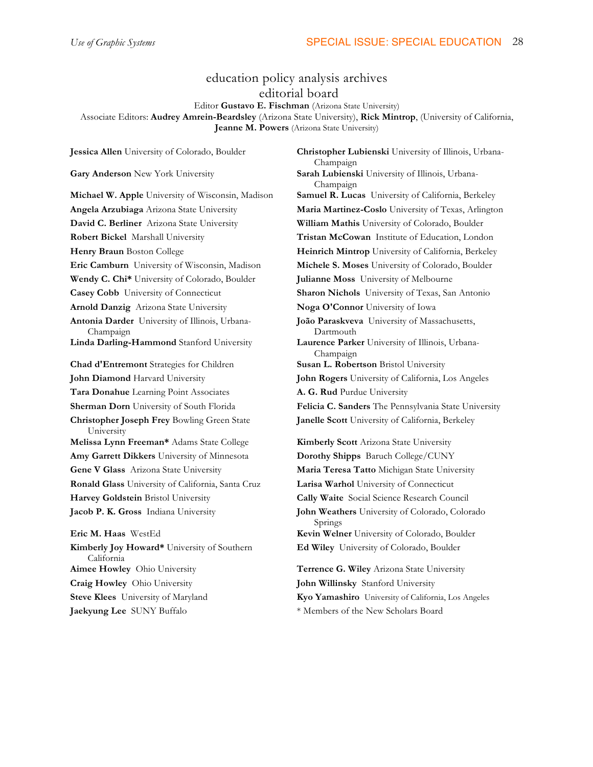## education policy analysis archives editorial board

Editor **Gustavo E. Fischman** (Arizona State University)

Associate Editors: **Audrey Amrein-Beardsley** (Arizona State University), **Rick Mintrop**, (University of California, **Jeanne M. Powers** (Arizona State University)

**David C. Berliner** Arizona State University **William Mathis** University of Colorado, Boulder **Robert Bickel** Marshall University **Tristan McCowan** Institute of Education, London **Eric Camburn** University of Wisconsin, Madison **Michele S. Moses** University of Colorado, Boulder **Wendy C. Chi\*** University of Colorado, Boulder **Julianne Moss** University of Melbourne **Casey Cobb** University of Connecticut **Sharon Nichols** University of Texas, San Antonio **Arnold Danzig** Arizona State University **Noga O'Connor** University of Iowa **Antonia Darder** University of Illinois, Urbana-Champaign **Linda Darling-Hammond** Stanford University **Laurence Parker** University of Illinois, Urbana-**Chad d'Entremont** Strategies for Children **Susan L. Robertson** Bristol University **John Diamond** Harvard University **John Rogers** University of California, Los Angeles **Tara Donahue** Learning Point Associates **A. G. Rud** Purdue University **Christopher Joseph Frey** Bowling Green State University **Melissa Lynn Freeman\*** Adams State College **Kimberly Scott** Arizona State University **Amy Garrett Dikkers** University of Minnesota **Dorothy Shipps** Baruch College/CUNY **Gene V Glass** Arizona State University **Maria Teresa Tatto** Michigan State University **Ronald Glass** University of California, Santa Cruz **Larisa Warhol** University of Connecticut **Harvey Goldstein** Bristol University **Cally Waite** Social Science Research Council **Jacob P. K. Gross** Indiana University **John Weathers** University of Colorado, Colorado **Eric M. Haas** WestEd **Kevin Welner** University of Colorado, Boulder **Kimberly Joy Howard\*** University of Southern California

**Craig Howley** Ohio University **John Willinsky** Stanford University

**Jessica Allen** University of Colorado, Boulder **Christopher Lubienski** University of Illinois, Urbana-Champaign **Gary Anderson** New York University **Sarah Lubienski** University of Illinois, Urbana-Champaign **Michael W. Apple** University of Wisconsin, Madison **Samuel R. Lucas** University of California, Berkeley **Angela Arzubiaga** Arizona State University **Maria Martinez-Coslo** University of Texas, Arlington **Henry Braun** Boston College **Heinrich Mintrop** University of California, Berkeley **João Paraskveva** University of Massachusetts, Dartmouth Champaign **Sherman Dorn** University of South Florida **Felicia C. Sanders** The Pennsylvania State University **Janelle Scott** University of California, Berkeley

Springs

**Ed Wiley** University of Colorado, Boulder

**Aimee Howley** Ohio University **Terrence G. Wiley** Arizona State University **Steve Klees** University of Maryland **Kyo Yamashiro** University of California, Los Angeles **Jaekyung Lee** SUNY Buffalo \* Members of the New Scholars Board